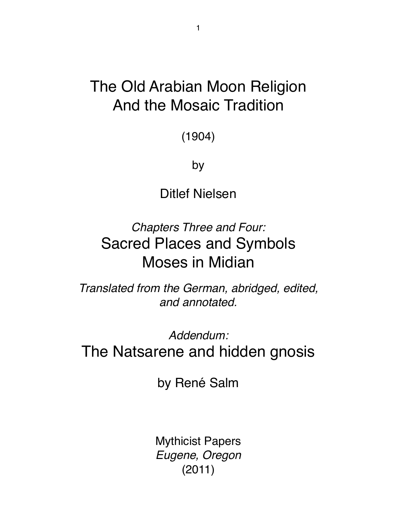# The Old Arabian Moon Religion And the Mosaic Tradition

(1904)

by

Ditlef Nielsen

*Chapters Three and Four:* Sacred Places and Symbols Moses in Midian

*Translated from the German, abridged, edited, and annotated.*

*Addendum:*  The Natsarene and hidden gnosis

by René Salm

Mythicist Papers *Eugene, Oregon*  (2011)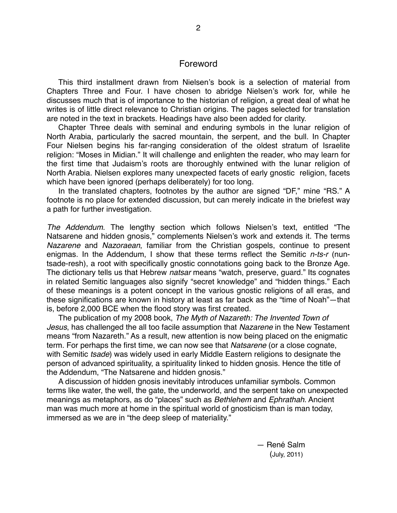#### Foreword

This third installment drawn from Nielsen's book is a selection of material from Chapters Three and Four. I have chosen to abridge Nielsen's work for, while he discusses much that is of importance to the historian of religion, a great deal of what he writes is of little direct relevance to Christian origins. The pages selected for translation are noted in the text in brackets. Headings have also been added for clarity.

Chapter Three deals with seminal and enduring symbols in the lunar religion of North Arabia, particularly the sacred mountain, the serpent, and the bull. In Chapter Four Nielsen begins his far-ranging consideration of the oldest stratum of Israelite religion: "Moses in Midian." It will challenge and enlighten the reader, who may learn for the first time that Judaism's roots are thoroughly entwined with the lunar religion of North Arabia. Nielsen explores many unexpected facets of early gnostic religion, facets which have been ignored (perhaps deliberately) for too long.

In the translated chapters, footnotes by the author are signed "DF," mine "RS." A footnote is no place for extended discussion, but can merely indicate in the briefest way a path for further investigation.

*The Addendum*. The lengthy section which follows Nielsen's text, entitled "The Natsarene and hidden gnosis," complements Nielsen's work and extends it. The terms *Nazarene* and *Nazoraean*, familiar from the Christian gospels, continue to present enigmas. In the Addendum, I show that these terms reflect the Semitic *n-ts-r* (nuntsade-resh), a root with specifically gnostic connotations going back to the Bronze Age. The dictionary tells us that Hebrew *natsar* means "watch, preserve, guard." Its cognates in related Semitic languages also signify "secret knowledge" and "hidden things." Each of these meanings is a potent concept in the various gnostic religions of all eras, and these significations are known in history at least as far back as the "time of Noah"—that is, before 2,000 BCE when the flood story was first created.

The publication of my 2008 book, *The Myth of Nazareth: The Invented Town of Jesus*, has challenged the all too facile assumption that *Nazarene* in the New Testament means "from Nazareth." As a result, new attention is now being placed on the enigmatic term. For perhaps the first time, we can now see that *Natsarene* (or a close cognate, with Semitic *tsade*) was widely used in early Middle Eastern religions to designate the person of advanced spirituality, a spirituality linked to hidden gnosis. Hence the title of the Addendum, "The Natsarene and hidden gnosis."

A discussion of hidden gnosis inevitably introduces unfamiliar symbols. Common terms like water, the well, the gate, the underworld, and the serpent take on unexpected meanings as metaphors, as do "places" such as *Bethlehem* and *Ephrathah*. Ancient man was much more at home in the spiritual world of gnosticism than is man today, immersed as we are in "the deep sleep of materiality."

> $-$  René Salm (July, 2011)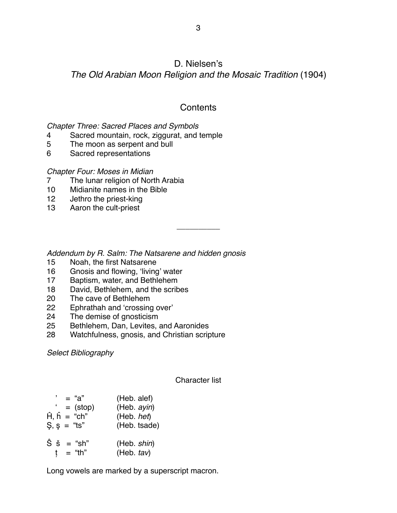## D. Nielsen's

*The Old Arabian Moon Religion and the Mosaic Tradition* (1904)

# **Contents**

\_\_\_\_\_\_\_\_\_\_

*Chapter Three: Sacred Places and Symbols*

- 4 Sacred mountain, rock, ziggurat, and temple
- 5 The moon as serpent and bull
- 6 Sacred representations

## *Chapter Four: Moses in Midian*

- 7 The lunar religion of North Arabia
- 10 Midianite names in the Bible
- 12 Jethro the priest-king
- 13 Aaron the cult-priest

*Addendum by R. Salm: The Natsarene and hidden gnosis*

- 15 Noah, the first Natsarene
- 16 Gnosis and flowing, ʻliving' water
- 17 Baptism, water, and Bethlehem
- 18 David, Bethlehem, and the scribes
- 20 The cave of Bethlehem
- 22 Ephrathah and ʻcrossing over'
- 24 The demise of gnosticism
- 25 Bethlehem, Dan, Levites, and Aaronides
- 28 Watchfulness, gnosis, and Christian scripture

*Select Bibliography*

## Character list

| $i$ = "a"                                     | (Heb. alef)               |
|-----------------------------------------------|---------------------------|
| $=$ (stop)                                    | (Heb. ayin)               |
| $\hat{H}$ , $\hat{h}$ = "ch"                  | (Heb. het)                |
| $\mathsf{S}, \, \mathsf{s} = \mathsf{``ts''}$ | (Heb. tsade)              |
| $\hat{S}$ $\check{s}$ = "sh"<br>= "th"<br>t   | (Heb. shin)<br>(Heb. tav) |

Long vowels are marked by a superscript macron.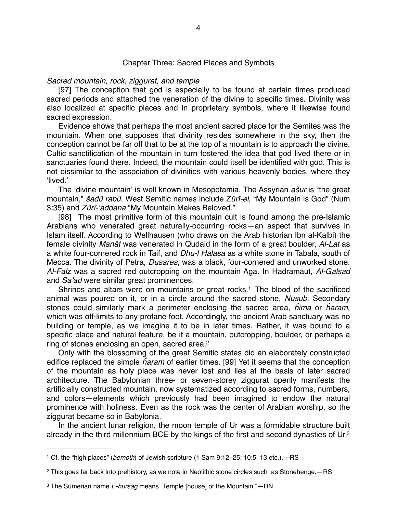#### Chapter Three: Sacred Places and Symbols

#### *Sacred mountain, rock, ziggurat, and temple*

[97] The conception that god is especially to be found at certain times produced sacred periods and attached the veneration of the divine to specific times. Divinity was also localized at specific places and in proprietary symbols, where it likewise found sacred expression.

Evidence shows that perhaps the most ancient sacred place for the Semites was the mountain. When one supposes that divinity resides somewhere in the sky, then the conception cannot be far off that to be at the top of a mountain is to approach the divine. Cultic sanctification of the mountain in turn fostered the idea that god lived there or in sanctuaries found there. Indeed, the mountain could itself be identified with god. This is not dissimilar to the association of divinities with various heavenly bodies, where they ʻlived.'

The ʻdivine mountain' is well known in Mesopotamia. The Assyrian *a*š*ur* is "the great mountain," š*adû rabû*. West Semitic names include Z*ûrî-el*, "My Mountain is God" (Num 3:35) and *Zûrî-*ʻ*addana* "My Mountain Makes Beloved."

[98] The most primitive form of this mountain cult is found among the pre-Islamic Arabians who venerated great naturally-occurring rocks—an aspect that survives in Islam itself. According to Wellhausen (who draws on the Arab historian Ibn al-Kalbi) the female divinity *Manât* was venerated in Qudaid in the form of a great boulder, *Al-Lat* as a white four-cornered rock in Taif, and *Dhu-l Halasa* as a white stone in Tabala, south of Mecca. The divinity of Petra, *Dusares*, was a black, four-cornered and unworked stone. *Al-Falz* was a sacred red outcropping on the mountain Aga. In Hadramaut, *Al-Galsad*  and *Sa*'*ad* were similar great prominences.

Shrines and altars were on mountains or great rocks.<sup>[1](#page-3-0)</sup> The blood of the sacrificed animal was poured on it, or in a circle around the sacred stone, *Nusub*. Secondary stones could similarly mark a perimeter enclosing the sacred area, ĥ*ima* or ĥ*aram*, which was off-limits to any profane foot. Accordingly, the ancient Arab sanctuary was no building or temple, as we imagine it to be in later times. Rather, it was bound to a specific place and natural feature, be it a mountain, outcropping, boulder, or perhaps a ring of stones enclosing an open, sacred area.<sup>2</sup>

Only with the blossoming of the great Semitic states did an elaborately constructed edifice replaced the simple ĥ*aram* of earlier times. [99] Yet it seems that the conception of the mountain as holy place was never lost and lies at the basis of later sacred architecture. The Babylonian three- or seven-storey ziggurat openly manifests the artificially constructed mountain, now systematized according to sacred forms, numbers, and colors—elements which previously had been imagined to endow the natural prominence with holiness. Even as the rock was the center of Arabian worship, so the ziggurat became so in Babylonia.

In the ancient lunar religion, the moon temple of Ur was a formidable structure built already in the third millennium BCE by the kings of the first and second dynasties of Ur[.3](#page-3-2)

<span id="page-3-0"></span><sup>1</sup> Cf. the "high places" (*bemoth*) of Jewish scripture (1 Sam 9:12–25; 10:5, 13 etc.).—RS

<span id="page-3-1"></span><sup>2</sup> This goes far back into prehistory, as we note in Neolithic stone circles such as Stonehenge.—RS

<span id="page-3-2"></span><sup>3</sup> The Sumerian name *E-hursag* means "Temple [house] of the Mountain."—DN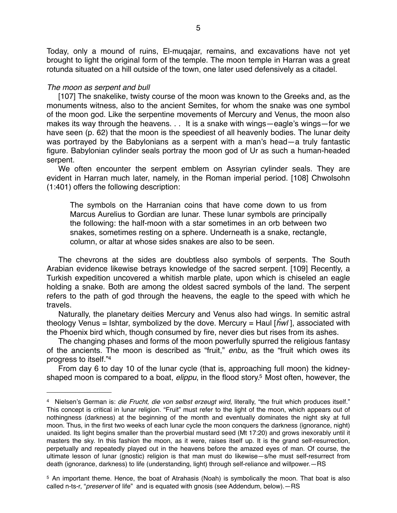Today, only a mound of ruins, El-muqajar, remains, and excavations have not yet brought to light the original form of the temple. The moon temple in Harran was a great rotunda situated on a hill outside of the town, one later used defensively as a citadel.

#### *The moon as serpent and bull*

[107] The snakelike, twisty course of the moon was known to the Greeks and, as the monuments witness, also to the ancient Semites, for whom the snake was one symbol of the moon god. Like the serpentine movements of Mercury and Venus, the moon also makes its way through the heavens. . . It is a snake with wings—eagle's wings—for we have seen (p. 62) that the moon is the speediest of all heavenly bodies. The lunar deity was portrayed by the Babylonians as a serpent with a man's head—a truly fantastic figure. Babylonian cylinder seals portray the moon god of Ur as such a human-headed serpent.

We often encounter the serpent emblem on Assyrian cylinder seals. They are evident in Harran much later, namely, in the Roman imperial period. [108] Chwolsohn (1:401) offers the following description:

The symbols on the Harranian coins that have come down to us from Marcus Aurelius to Gordian are lunar. These lunar symbols are principally the following: the half-moon with a star sometimes in an orb between two snakes, sometimes resting on a sphere. Underneath is a snake, rectangle, column, or altar at whose sides snakes are also to be seen.

The chevrons at the sides are doubtless also symbols of serpents. The South Arabian evidence likewise betrays knowledge of the sacred serpent. [109] Recently, a Turkish expedition uncovered a whitish marble plate, upon which is chiseled an eagle holding a snake. Both are among the oldest sacred symbols of the land. The serpent refers to the path of god through the heavens, the eagle to the speed with which he travels.

Naturally, the planetary deities Mercury and Venus also had wings. In semitic astral theology Venus = Ishtar, symbolized by the dove. Mercury = Haul [ĥ*wl* ], associated with the Phoenix bird which, though consumed by fire, never dies but rises from its ashes.

The changing phases and forms of the moon powerfully spurred the religious fantasy of the ancients. The moon is described as "fruit," *enbu*, as the "fruit which owes its progress to itself.["4](#page-4-0)

From day 6 to day 10 of the lunar cycle (that is, approaching full moon) the kidneyshaped moon is compared to a boat, *elippu*, in the flood story[.5](#page-4-1) Most often, however, the

<span id="page-4-0"></span><sup>4</sup> Nielsen's German is: *die Frucht, die von selbst erzeugt wird*, literally, "the fruit which produces itself." This concept is critical in lunar religion. "Fruit" must refer to the light of the moon, which appears out of nothingness (darkness) at the beginning of the month and eventually dominates the night sky at full moon. Thus, in the first two weeks of each lunar cycle the moon conquers the darkness (ignorance, night) unaided. Its light begins smaller than the proverbial mustard seed (Mt 17:20) and grows inexorably until it masters the sky. In this fashion the moon, as it were, raises itself up. It is the grand self-resurrection, perpetually and repeatedly played out in the heavens before the amazed eyes of man. Of course, the ultimate lesson of lunar (gnostic) religion is that man must do likewise—s/he must self-resurrect from death (ignorance, darkness) to life (understanding, light) through self-reliance and willpower.—RS

<span id="page-4-1"></span><sup>5</sup> An important theme. Hence, the boat of Atrahasis (Noah) is symbolically the moon. That boat is also called n-ts-r, "*preserver* of life" and is equated with gnosis (see Addendum, below).—RS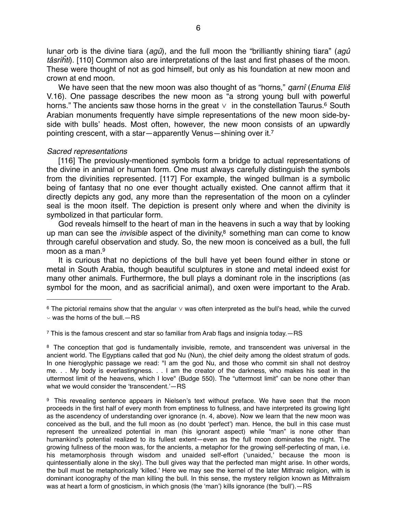lunar orb is the divine tiara (*agû*), and the full moon the "brilliantly shining tiara" (*agû tâsri*ĥ*ti*). [110] Common also are interpretations of the last and first phases of the moon. These were thought of not as god himself, but only as his foundation at new moon and crown at end moon.

We have seen that the new moon was also thought of as "horns," *qarnî* (*Enuma Eli*š V.16). One passage describes the new moon as "a strong young bull with powerful horns." The ancients saw those horns in the great  $\vee$  in the constellation Taurus.<sup>6</sup> South Arabian monuments frequently have simple representations of the new moon side-byside with bulls' heads. Most often, however, the new moon consists of an upwardly pointing crescent, with a star—apparently Venus—shining over it[.7](#page-5-1)

#### *Sacred representations*

[116] The previously-mentioned symbols form a bridge to actual representations of the divine in animal or human form. One must always carefully distinguish the symbols from the divinities represented. [117] For example, the winged bullman is a symbolic being of fantasy that no one ever thought actually existed. One cannot affirm that it directly depicts any god, any more than the representation of the moon on a cylinder seal is the moon itself. The depiction is present only where and when the divinity is symbolized in that particular form.

God reveals himself to the heart of man in the heavens in such a way that by looking up man can see the *invisible* aspect of the divinity,<sup>8</sup> something man can come to know through careful observation and study. So, the new moon is conceived as a bull, the full moon as a man[.9](#page-5-3)

It is curious that no depictions of the bull have yet been found either in stone or metal in South Arabia, though beautiful sculptures in stone and metal indeed exist for many other animals. Furthermore, the bull plays a dominant role in the inscriptions (as symbol for the moon, and as sacrificial animal), and oxen were important to the Arab.

<span id="page-5-0"></span> $6$  The pictorial remains show that the angular  $\vee$  was often interpreted as the bull's head, while the curved

<span id="page-5-1"></span> $\frac{7}{1}$  This is the famous crescent and star so familiar from Arab flags and insignia today.  $-RS$ 

<span id="page-5-2"></span><sup>8</sup> The conception that god is fundamentally invisible, remote, and transcendent was universal in the ancient world. The Egyptians called that god Nu (Nun), the chief deity among the oldest stratum of gods. In one hieroglyphic passage we read: "I am the god Nu, and those who commit sin shall not destroy me. . . My body is everlastingness. . . I am the creator of the darkness, who makes his seat in the uttermost limit of the heavens, which I love" (Budge 550). The "uttermost limit" can be none other than what we would consider the ʻtranscendent.'—RS

<span id="page-5-3"></span>9 This revealing sentence appears in Nielsen's text without preface. We have seen that the moon proceeds in the first half of every month from emptiness to fullness, and have interpreted its growing light as the ascendency of understanding over ignorance (n. 4, above). Now we learn that the new moon was conceived as the bull, and the full moon as (no doubt ʻperfect') man. Hence, the bull in this case must represent the unrealized potential in man (his ignorant aspect) while "man" is none other than humankind's potential realized to its fullest extent—even as the full moon dominates the night. The growing fullness of the moon was, for the ancients, a metaphor for the growing self-perfecting of man, i.e. his metamorphosis through wisdom and unaided self-effort (ʻunaided,' because the moon is quintessentially alone in the sky). The bull gives way that the perfected man might arise. In other words, the bull must be metaphorically ʻkilled.' Here we may see the kernel of the later Mithraic religion, with is dominant iconography of the man killing the bull. In this sense, the mystery religion known as Mithraism was at heart a form of gnosticism, in which gnosis (the 'man') kills ignorance (the 'bull'). -RS

 $\backsim$  was the horns of the bull.  $-$ RS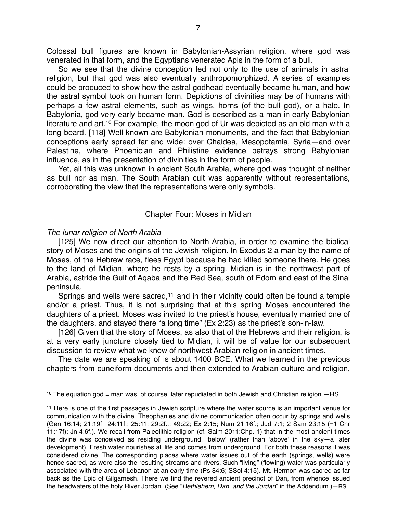Colossal bull figures are known in Babylonian-Assyrian religion, where god was venerated in that form, and the Egyptians venerated Apis in the form of a bull.

So we see that the divine conception led not only to the use of animals in astral religion, but that god was also eventually anthropomorphized. A series of examples could be produced to show how the astral godhead eventually became human, and how the astral symbol took on human form. Depictions of divinities may be of humans with perhaps a few astral elements, such as wings, horns (of the bull god), or a halo. In Babylonia, god very early became man. God is described as a man in early Babylonian literature and art.<sup>[10](#page-6-0)</sup> For example, the moon god of Ur was depicted as an old man with a long beard. [118] Well known are Babylonian monuments, and the fact that Babylonian conceptions early spread far and wide: over Chaldea, Mesopotamia, Syria—and over Palestine, where Phoenician and Philistine evidence betrays strong Babylonian influence, as in the presentation of divinities in the form of people.

Yet, all this was unknown in ancient South Arabia, where god was thought of neither as bull nor as man. The South Arabian cult was apparently without representations, corroborating the view that the representations were only symbols.

#### Chapter Four: Moses in Midian

#### *The lunar religion of North Arabia*

[125] We now direct our attention to North Arabia, in order to examine the biblical story of Moses and the origins of the Jewish religion. In Exodus 2 a man by the name of Moses, of the Hebrew race, flees Egypt because he had killed someone there. He goes to the land of Midian, where he rests by a spring. Midian is in the northwest part of Arabia, astride the Gulf of Aqaba and the Red Sea, south of Edom and east of the Sinai peninsula.

Springs and wells were sacred,<sup>11</sup> and in their vicinity could often be found a temple and/or a priest. Thus, it is not surprising that at this spring Moses encountered the daughters of a priest. Moses was invited to the priest's house, eventually married one of the daughters, and stayed there "a long time" (Ex 2:23) as the priest's son-in-law.

[126] Given that the story of Moses, as also that of the Hebrews and their religion, is at a very early juncture closely tied to Midian, it will be of value for our subsequent discussion to review what we know of northwest Arabian religion in ancient times.

The date we are speaking of is about 1400 BCE. What we learned in the previous chapters from cuneiform documents and then extended to Arabian culture and religion,

<span id="page-6-0"></span> $10$  The equation god = man was, of course, later repudiated in both Jewish and Christian religion. $-RS$ 

<span id="page-6-1"></span><sup>11</sup> Here is one of the first passages in Jewish scripture where the water source is an important venue for communication with the divine. Theophanies and divine communication often occur by springs and wells (Gen 16:14; 21:19f 24:11f.; 25:11; 29:2f..; 49:22; Ex 2:15; Num 21:16f.; Jud 7:1; 2 Sam 23:15 (=1 Chr 11:17f); Jn 4:6f.). We recall from Paleolithic religion (cf. Salm 2011:Chp. 1) that in the most ancient times the divine was conceived as residing underground, ʻbelow' (rather than ʻabove' in the sky—a later development). Fresh water nourishes all life and comes from underground. For both these reasons it was considered divine. The corresponding places where water issues out of the earth (springs, wells) were hence sacred, as were also the resulting streams and rivers. Such "living" (flowing) water was particularly associated with the area of Lebanon at an early time (Ps 84:6; SSol 4:15). Mt. Hermon was sacred as far back as the Epic of Gilgamesh. There we find the revered ancient precinct of Dan, from whence issued the headwaters of the holy River Jordan. (See "*Bethlehem, Dan, and the Jordan*" in the Addendum.)—RS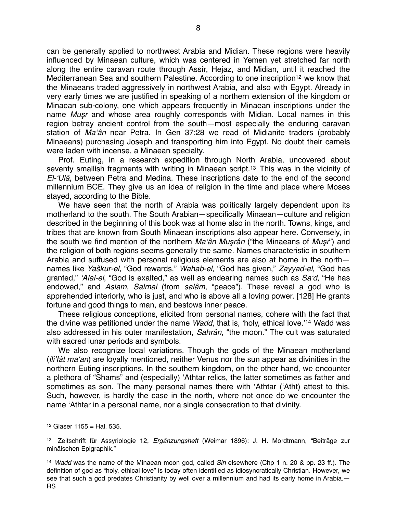can be generally applied to northwest Arabia and Midian. These regions were heavily influenced by Minaean culture, which was centered in Yemen yet stretched far north along the entire caravan route through Assîr, Hejaz, and Midian, until it reached the Mediterranean Sea and southern Palestine. According to one inscription<sup>12</sup> we know that the Minaeans traded aggressively in northwest Arabia, and also with Egypt. Already in very early times we are justified in speaking of a northern extension of the kingdom or Minaean sub-colony, one which appears frequently in Minaean inscriptions under the name *Mu*ş*r* and whose area roughly corresponds with Midian. Local names in this region betray ancient control from the south—most especially the enduring caravan station of *Ma*ʻ*ân* near Petra. In Gen 37:28 we read of Midianite traders (probably Minaeans) purchasing Joseph and transporting him into Egypt. No doubt their camels were laden with incense, a Minaean specialty.

Prof. Euting, in a research expedition through North Arabia, uncovered about seventy smallish fragments with writing in Minaean script.<sup>[13](#page-7-1)</sup> This was in the vicinity of *El-*ʻ*Ulâ*, between Petra and Medina. These inscriptions date to the end of the second millennium BCE. They give us an idea of religion in the time and place where Moses stayed, according to the Bible.

We have seen that the north of Arabia was politically largely dependent upon its motherland to the south. The South Arabian—specifically Minaean—culture and religion described in the beginning of this book was at home also in the north. Towns, kings, and tribes that are known from South Minaean inscriptions also appear here. Conversely, in the south we find mention of the northern *Ma*ʻ*ân Mu*ş*rân* ("the Minaeans of *Mu*ş*r*") and the religion of both regions seems generally the same. Names characteristic in southern Arabia and suffused with personal religious elements are also at home in the north names like *Ya*š*kur-el*, "God rewards," *Wahab-el*, "God has given," *Zayyad-el*, "God has granted," ʻ*Alai-el*, "God is exalted," as well as endearing names such as *Sa*ʻ*d*, "He has endowed," and *Aslam, Salmai* (from *salâm*, "peace"). These reveal a god who is apprehended interiorly, who is just, and who is above all a loving power. [128] He grants fortune and good things to man, and bestows inner peace.

These religious conceptions, elicited from personal names, cohere with the fact that the divine was petitioned under the name *Wadd*, that is, ʻholy, ethical love.' [14](#page-7-2) Wadd was also addressed in his outer manifestation, *Sahrân*, "the moon." The cult was saturated with sacred lunar periods and symbols.

We also recognize local variations. Though the gods of the Minaean motherland (*ili*'*Iât ma*ʻ*an*) are loyally mentioned, neither Venus nor the sun appear as divinities in the northern Euting inscriptions. In the southern kingdom, on the other hand, we encounter a plethora of "Shams" and (especially) ʻAthtar relics, the latter sometimes as father and sometimes as son. The many personal names there with ʻAthtar (ʻAtht) attest to this. Such, however, is hardly the case in the north, where not once do we encounter the name ʻAthtar in a personal name, nor a single consecration to that divinity.

<span id="page-7-0"></span> $12$  Glaser 1155 = Hal. 535.

<span id="page-7-1"></span><sup>13</sup> Zeitschrift für Assyriologie 12, *Ergänzungsheft* (Weimar 1896): J. H. Mordtmann, "Beiträge zur minäischen Epigraphik."

<span id="page-7-2"></span><sup>14</sup> *Wadd* was the name of the Minaean moon god, called *Sin* elsewhere (Chp 1 n. 20 & pp. 23 ff.). The definition of god as "holy, ethical love" is today often identified as idiosyncratically Christian. However, we see that such a god predates Christianity by well over a millennium and had its early home in Arabia. -RS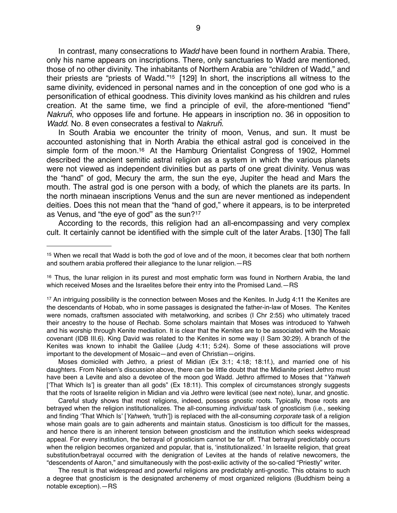In contrast, many consecrations to *Wadd* have been found in northern Arabia. There, only his name appears on inscriptions. There, only sanctuaries to Wadd are mentioned, those of no other divinity. The inhabitants of Northern Arabia are "children of Wadd," and their priests are "priests of Wadd.["15](#page-8-0) [129] In short, the inscriptions all witness to the same divinity, evidenced in personal names and in the conception of one god who is a personification of ethical goodness. This divinity loves mankind as his children and rules creation. At the same time, we find a principle of evil, the afore-mentioned "fiend" *Nakru*ĥ, who opposes life and fortune. He appears in inscription no. 36 in opposition to *Wadd*. No. 8 even consecrates a festival to *Nakru*ĥ.

In South Arabia we encounter the trinity of moon, Venus, and sun. It must be accounted astonishing that in North Arabia the ethical astral god is conceived in the simple form of the moon.<sup>16</sup> At the Hamburg Orientalist Congress of 1902, Hommel described the ancient semitic astral religion as a system in which the various planets were not viewed as independent divinities but as parts of one great divinity. Venus was the "hand" of god, Mecury the arm, the sun the eye, Jupiter the head and Mars the mouth. The astral god is one person with a body, of which the planets are its parts. In the north minaean inscriptions Venus and the sun are never mentioned as independent deities. Does this not mean that the "hand of god," where it appears, is to be interpreted as Venus, and "the eye of god" as the sun?[17](#page-8-2)

According to the records, this religion had an all-encompassing and very complex cult. It certainly cannot be identified with the simple cult of the later Arabs. [130] The fall

Moses domiciled with Jethro, a priest of Midian (Ex 3:1; 4:18; 18:1f.), and married one of his daughters. From Nielsen's discussion above, there can be little doubt that the Midianite priest Jethro must have been a Levite and also a devotee of the moon god Wadd. Jethro affirmed to Moses that "*Yahweh* [ʻThat Which Is'] is greater than all gods" (Ex 18:11). This complex of circumstances strongly suggests that the roots of Israelite religion in Midian and via Jethro were levitical (see next note), lunar, and gnostic.

Careful study shows that most religions, indeed, possess gnostic roots. Typically, those roots are betrayed when the religion institutionalizes. The all-consuming *individual* task of gnosticism (i.e., seeking and finding ʻThat Which Is' [*Yahweh*, ʻtruth']) is replaced with the all-consuming *corporate* task of a religion whose main goals are to gain adherents and maintain status. Gnosticism is too difficult for the masses, and hence there is an inherent tension between gnosticism and the institution which seeks widespread appeal. For every institution, the betrayal of gnosticism cannot be far off. That betrayal predictably occurs when the religion becomes organized and popular, that is, ʻinstitutionalized.' In Israelite religion, that great substitution/betrayal occurred with the denigration of Levites at the hands of relative newcomers, the "descendents of Aaron," and simultaneously with the post-exilic activity of the so-called "Priestly" writer.

The result is that widespread and powerful religions are predictably anti-gnostic. This obtains to such a degree that gnosticism is the designated archenemy of most organized religions (Buddhism being a notable exception).—RS

<span id="page-8-0"></span><sup>15</sup> When we recall that Wadd is both the god of love and of the moon, it becomes clear that both northern and southern arabia proffered their allegiance to the lunar religion.—RS

<span id="page-8-1"></span><sup>&</sup>lt;sup>16</sup> Thus, the lunar religion in its purest and most emphatic form was found in Northern Arabia, the land which received Moses and the Israelites before their entry into the Promised Land.—RS

<span id="page-8-2"></span><sup>&</sup>lt;sup>17</sup> An intriguing possibility is the connection between Moses and the Kenites. In Judg 4:11 the Kenites are the descendants of Hobab, who in some passages is designated the father-in-law of Moses. The Kenites were nomads, craftsmen associated with metalworking, and scribes (I Chr 2:55) who ultimately traced their ancestry to the house of Rechab. Some scholars maintain that Moses was introduced to Yahweh and his worship through Kenite mediation. It is clear that the Kenites are to be associated with the Mosaic covenant (IDB III.6). King David was related to the Kenites in some way (I Sam 30:29). A branch of the Kenites was known to inhabit the Galilee (Judg 4:11; 5:24). Some of these associations will prove important to the development of Mosaic—and even of Christian—origins.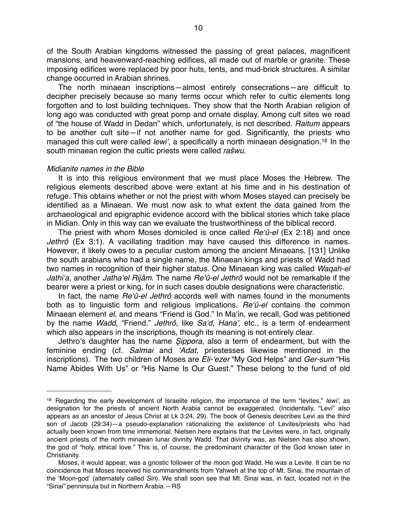of the South Arabian kingdoms witnessed the passing of great palaces, magnificent mansions, and heavenward-reaching edifices, all made out of marble or granite. These imposing edifices were replaced by poor huts, tents, and mud-brick structures. A similar change occurred in Arabian shrines.

The north minaean inscriptions—almost entirely consecrations—are difficult to decipher precisely because so many terms occur which refer to cultic elements long forgotten and to lost building techniques. They show that the North Arabian religion of long ago was conducted with great pomp and ornate display. Among cult sites we read of "the house of Wadd in Dedan" which, unfortunately, is not described. *Raitum* appears to be another cult site—if not another name for god. Significantly, the priests who managed this cult were called *lewi*', a specifically a north minaean designation.[18](#page-9-0) In the south minaean region the cultic priests were called *ra*š*wu*.

#### *Midianite names in the Bible*

It is into this religious environment that we must place Moses the Hebrew. The religious elements described above were extant at his time and in his destination of refuge. This obtains whether or not the priest with whom Moses stayed can precisely be identified as a Minaean. We must now ask to what extent the data gained from the archaeological and epigraphic evidence accord with the biblical stories which take place in Midian. Only in this way can we evaluate the trustworthiness of the biblical record.

The priest with whom Moses domiciled is once called *Re*ʻ*û-el* (Ex 2:18) and once *Jethrô* (Ex 3:1). A vacillating tradition may have caused this difference in names. However, it likely owes to a peculiar custom among the ancient Minaeans. [131] Unlike the south arabians who had a single name, the Minaean kings and priests of Wadd had two names in recognition of their higher status. One Minaean king was called *Waqah-el Jathi*ʻ*a*, another *Jatha*ʻ*el Rijâm*. The name *Re*ʻ*û-el Jethrô* would not be remarkable if the bearer were a priest or king, for in such cases double designations were characteristic.

In fact, the name *Re*ʻ*û-el Jethrô* accords well with names found in the monuments both as to linguistic form and religious implications. *Re*ʻ*û-el* contains the common Minaean element *el*, and means "Friend is God." In Maʻin, we recall, God was petitioned by the name *Wadd*, "Friend." *Jethrô*, like *Sa*ʻ*d*, *Hana*', etc., is a term of endearment which also appears in the inscriptions, though its meaning is not entirely clear.

Jethro's daughter has the name Ş*ippora*, also a term of endearment, but with the feminine ending (cf. *Salmai* and ʻ*Adat,* priestesses likewise mentioned in the inscriptions). The two children of Moses are *Eli-*ʻ*ezer* "My God Helps" and *Ger-sum* "His Name Abides With Us" or "His Name Is Our Guest." These belong to the fund of old

<span id="page-9-0"></span><sup>18</sup> Regarding the early development of Israelite religion, the importance of the term "levites," *lewi*', as designation for the priests of ancient North Arabia cannot be exaggerated. (Incidentally, "Levi" also appears as an ancestor of Jesus Christ at Lk 3:24, 29). The book of Genesis describes Levi as the third son of Jacob (29:34)—a pseudo-explanation rationalizing the existence of Levites/priests who had actually been known from time immemorial. Nielsen here explains that the Levites were, in fact, originally ancient priests of the north minaean lunar divinity Wadd. That divinity was, as Nielsen has also shown, the god of "holy, ethical love." This is, of course, the predominant character of the God known later in Christianity.

Moses, it would appear, was a gnostic follower of the moon god Wadd. He was a Levite. It can be no coincidence that Moses received his commandments from Yahweh at the top of Mt. Sinai, the mountain of the ʻMoon-god' (alternately called *Sin*). We shall soon see that Mt. Sinai was, in fact, located not in the "Sinai" penninsula but in Northern Arabia.—RS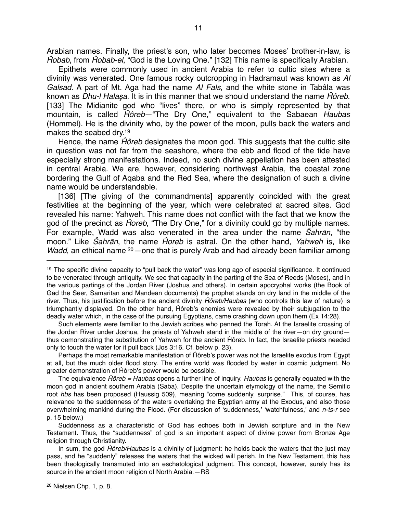Arabian names. Finally, the priest's son, who later becomes Moses' brother-in-law, is Ĥ*obab*, from Ĥ*obab-el*, "God is the Loving One." [132] This name is specifically Arabian.

Epithets were commonly used in ancient Arabia to refer to cultic sites where a divinity was venerated. One famous rocky outcropping in Hadramaut was known as *Al Galsad*. A part of Mt. Aga had the name *Al Fals*, and the white stone in Tabâla was known as *Dhu-l Hala*ş*a*. It is in this manner that we should understand the name Ĥ*ôreb*. [133] The Midianite god who "lives" there, or who is simply represented by that mountain, is called Ĥ*ôreb*—"The Dry One," equivalent to the Sabaean *Haubas* (Hommel). He is the divinity who, by the power of the moon, pulls back the waters and makes the seabed dry[.19](#page-10-0)

Hence, the name Ĥ*ôreb* designates the moon god. This suggests that the cultic site in question was not far from the seashore, where the ebb and flood of the tide have especially strong manifestations. Indeed, no such divine appellation has been attested in central Arabia. We are, however, considering northwest Arabia, the coastal zone bordering the Gulf of Aqaba and the Red Sea, where the designation of such a divine name would be understandable.

[136] [The giving of the commandments] apparently coincided with the great festivities at the beginning of the year, which were celebrated at sacred sites. God revealed his name: Yahweh. This name does not conflict with the fact that we know the god of the precinct as Ĥ*oreb*, "The Dry One," for a divinity could go by multiple names. For example, Wadd was also venerated in the area under the name Ŝ*ahr*ā*n*, "the moon." Like Ŝ*ahr*ā*n*, the name Ĥ*oreb* is astral. On the other hand, *Yahweh* is, like *Wadd*, an ethical name <sup>20</sup> — one that is purely Arab and had already been familiar among

Such elements were familiar to the Jewish scribes who penned the Torah. At the Israelite crossing of the Jordan River under Joshua, the priests of Yahweh stand in the middle of the river—on dry ground thus demonstrating the substitution of Yahweh for the ancient Ĥôreb. In fact, the Israelite priests needed only to touch the water for it pull back (Jos 3:16. Cf. below p. 23).

Perhaps the most remarkable manifestation of Ĥôreb's power was not the Israelite exodus from Egypt at all, but the much older flood story. The entire world was flooded by water in cosmic judgment. No greater demonstration of Ĥôreb's power would be possible.

The equivalence Ĥ*ôreb = Haubas* opens a further line of inquiry. *Haubas* is generally equated with the moon god in ancient southern Arabia (Saba). Despite the uncertain etymology of the name, the Semitic root *hbs* has been proposed (Haussig 509), meaning "come suddenly, surprise." This, of course, has relevance to the suddenness of the waters overtaking the Egyptian army at the Exodus, and also those overwhelming mankind during the Flood. (For discussion of ʻsuddenness,' ʻwatchfulness,' and *n-ts-r* see p. 15 below.)

Suddenness as a characteristic of God has echoes both in Jewish scripture and in the New Testament. Thus, the "suddenness" of god is an important aspect of divine power from Bronze Age religion through Christianity.

<span id="page-10-1"></span>In sum, the god Ĥ*ôreb/Haubas* is a divinity of judgment: he holds back the waters that the just may pass, and he "suddenly" releases the waters that the wicked will perish. In the New Testament, this has been theologically transmuted into an eschatological judgment. This concept, however, surely has its source in the ancient moon religion of North Arabia.—RS

<span id="page-10-0"></span><sup>19</sup> The specific divine capacity to "pull back the water" was long ago of especial significance. It continued to be venerated through antiquity. We see that capacity in the parting of the Sea of Reeds (Moses), and in the various partings of the Jordan River (Joshua and others). In certain apocryphal works (the Book of Gad the Seer, Samaritan and Mandean documents) the prophet stands on dry land in the middle of the river. Thus, his justification before the ancient divinity Ĥ*ôreb/Haubas* (who controls this law of nature) is triumphantly displayed. On the other hand, Ĥôreb's enemies were revealed by their subjugation to the deadly water which, in the case of the pursuing Egyptians, came crashing down upon them (Ex 14:28).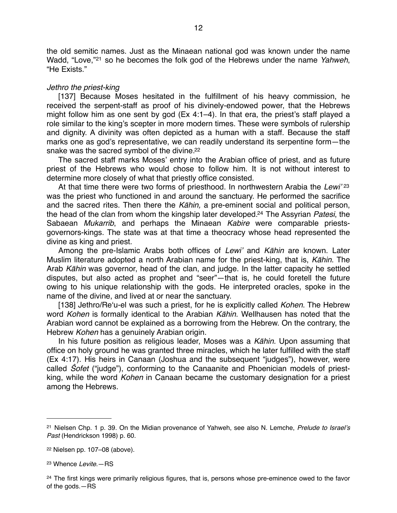the old semitic names. Just as the Minaean national god was known under the name Wadd, "Love,"[21](#page-11-0) so he becomes the folk god of the Hebrews under the name *Yahweh*, "He Exists."

#### *Jethro the priest-king*

[137] Because Moses hesitated in the fulfillment of his heavy commission, he received the serpent-staff as proof of his divinely-endowed power, that the Hebrews might follow him as one sent by god (Ex 4:1–4). In that era, the priest's staff played a role similar to the king's scepter in more modern times. These were symbols of rulership and dignity. A divinity was often depicted as a human with a staff. Because the staff marks one as god's representative, we can readily understand its serpentine form—the snake was the sacred symbol of the divine[.22](#page-11-1)

The sacred staff marks Moses' entry into the Arabian office of priest, and as future priest of the Hebrews who would chose to follow him. It is not without interest to determine more closely of what that priestly office consisted.

At that time there were two forms of priesthood. In northwestern Arabia the *Lewi*' [23](#page-11-2) was the priest who functioned in and around the sanctuary. He performed the sacrifice and the sacred rites. Then there the *K*ā*hin,* a pre-eminent social and political person, the head of the clan from whom the kingship later developed[.24](#page-11-3) The Assyrian *Patesi*, the Sabaean *Mukarrib*, and perhaps the Minaean *Kabire* were comparable priestsgovernors-kings. The state was at that time a theocracy whose head represented the divine as king and priest.

Among the pre-Islamic Arabs both offices of *Lewi*' and *K*ā*hin* are known. Later Muslim literature adopted a north Arabian name for the priest-king, that is, *K*ā*hin*. The Arab *K*ā*hin* was governor, head of the clan, and judge. In the latter capacity he settled disputes, but also acted as prophet and "seer"—that is, he could foretell the future owing to his unique relationship with the gods. He interpreted oracles, spoke in the name of the divine, and lived at or near the sanctuary.

[138] Jethro/Reʻu-el was such a priest, for he is explicitly called *Kohen*. The Hebrew word *Kohen* is formally identical to the Arabian *K*ā*hin.* Wellhausen has noted that the Arabian word cannot be explained as a borrowing from the Hebrew. On the contrary, the Hebrew *Kohen* has a genuinely Arabian origin.

In his future position as religious leader, Moses was a *K*ā*hin.* Upon assuming that office on holy ground he was granted three miracles, which he later fulfilled with the staff (Ex 4:17). His heirs in Canaan (Joshua and the subsequent "judges"), however, were called Ŝ*ofet* ("judge"), conforming to the Canaanite and Phoenician models of priestking, while the word *Kohen* in Canaan became the customary designation for a priest among the Hebrews.

<span id="page-11-0"></span><sup>21</sup> Nielsen Chp. 1 p. 39. On the Midian provenance of Yahweh, see also N. Lemche, *Prelude to Israel*'*s Past* (Hendrickson 1998) p. 60.

<span id="page-11-1"></span><sup>22</sup> Nielsen pp. 107–08 (above).

<span id="page-11-2"></span><sup>23</sup> Whence *Levite*.—RS

<span id="page-11-3"></span><sup>&</sup>lt;sup>24</sup> The first kings were primarily religious figures, that is, persons whose pre-eminence owed to the favor of the gods.—RS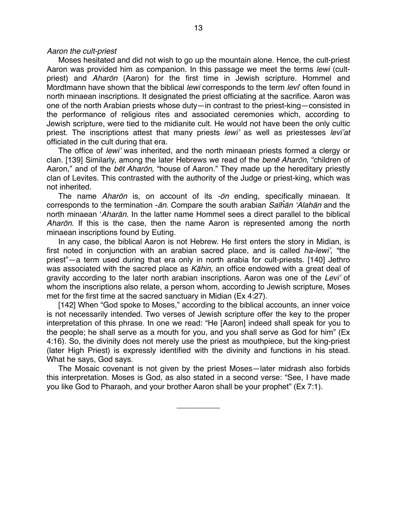#### *Aaron the cult-priest*

Moses hesitated and did not wish to go up the mountain alone. Hence, the cult-priest Aaron was provided him as companion. In this passage we meet the terms *lewi* (cultpriest) and *Ahar*ō*n* (Aaron) for the first time in Jewish scripture. Hommel and Mordtmann have shown that the biblical *lewi* corresponds to the term *levi*' often found in north minaean inscriptions. It designated the priest officiating at the sacrifice. Aaron was one of the north Arabian priests whose duty—in contrast to the priest-king—consisted in the performance of religious rites and associated ceremonies which, according to Jewish scripture, were tied to the midianite cult. He would not have been the only cultic priest. The inscriptions attest that many priests *lewi*' as well as priestesses *levi*'*at*  officiated in the cult during that era.

The office of *lewi*' was inherited, and the north minaean priests formed a clergy or clan. [139] Similarly, among the later Hebrews we read of the *ben*ē *Ahar*ō*n*, "children of Aaron," and of the *b*ē*t Ahar*ō*n*, "house of Aaron." They made up the hereditary priestly clan of Levites. This contrasted with the authority of the Judge or priest-king, which was not inherited.

The name *Ahar*ō*n* is, on account of its *-*ō*n* ending, specifically minaean. It corresponds to the termination -ā*n.* Compare the south arabian *Sal*ĥā*n* ʻ*Alah*ā*n* and the north minaean ʻ*Ahar*ā*n.* In the latter name Hommel sees a direct parallel to the biblical *Ahar*ō*n*. If this is the case, then the name Aaron is represented among the north minaean inscriptions found by Euting.

In any case, the biblical Aaron is not Hebrew. He first enters the story in Midian, is first noted in conjunction with an arabian sacred place, and is called *ha-lewi*', "the priest"—a term used during that era only in north arabia for cult-priests. [140] Jethro was associated with the sacred place as *K*ā*hin,* an office endowed with a great deal of gravity according to the later north arabian inscriptions. Aaron was one of the *Levi*' of whom the inscriptions also relate, a person whom, according to Jewish scripture, Moses met for the first time at the sacred sanctuary in Midian (Ex 4:27).

[142] When "God spoke to Moses," according to the biblical accounts, an inner voice is not necessarily intended. Two verses of Jewish scripture offer the key to the proper interpretation of this phrase. In one we read: "He [Aaron] indeed shall speak for you to the people; he shall serve as a mouth for you, and you shall serve as God for him" (Ex 4:16). So, the divinity does not merely use the priest as mouthpiece, but the king-priest (later High Priest) is expressly identified with the divinity and functions in his stead. What he says, God says.

The Mosaic covenant is not given by the priest Moses—later midrash also forbids this interpretation. Moses is God, as also stated in a second verse: "See, I have made you like God to Pharaoh, and your brother Aaron shall be your prophet" (Ex 7:1).

\_\_\_\_\_\_\_\_\_\_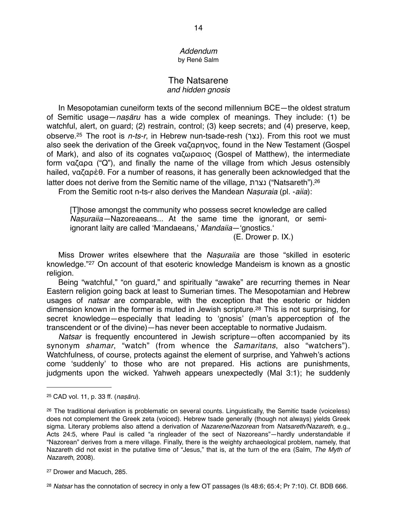#### *Addendum* by René Salm

## The Natsarene *and hidden gnosis*

In Mesopotamian cuneiform texts of the second millennium BCE—the oldest stratum of Semitic usage—*na*ṣā*ru* has a wide complex of meanings. They include: (1) be watchful, alert, on guard; (2) restrain, control; (3) keep secrets; and (4) preserve, keep, observe.<sup>25</sup> The root is *n-ts-r*, in Hebrew nun-tsade-resh (נצר). From this root we must also seek the derivation of the Greek ναζαρηνoς, found in the New Testament (Gospel of Mark), and also of its cognates ναζωραιος (Gospel of Matthew), the intermediate form ναζαρα ("Q"), and finally the name of the village from which Jesus ostensibly hailed, ναζαρὲθ. For a number of reasons, it has generally been acknowledged that the latter does not derive from the Semitic name of the village, נצרת") Natsareth")[.26](#page-13-1)

From the Semitic root n-ts-r also derives the Mandean *Na*ṣ*uraia* (pl. -*aiia*):

[T]hose amongst the community who possess secret knowledge are called *Na*ṣ*uraiia—*Nazoreaeans... At the same time the ignorant, or semiignorant laity are called 'Mandaeans,' Mandaiia— 'gnostics.'

 $(E. Drower p. IX.)$ 

Miss Drower writes elsewhere that the *Na*ṣ*uraiia* are those "skilled in esoteric knowledge."[27](#page-13-2) On account of that esoteric knowledge Mandeism is known as a gnostic religion.

Being "watchful," "on guard," and spiritually "awake" are recurring themes in Near Eastern religion going back at least to Sumerian times. The Mesopotamian and Hebrew usages of *natsar* are comparable, with the exception that the esoteric or hidden dimension known in the former is muted in Jewish scripture[.28](#page-13-3) This is not surprising, for secret knowledge—especially that leading to ʻgnosis' (man's apperception of the transcendent or of the divine)—has never been acceptable to normative Judaism.

*Natsar* is frequently encountered in Jewish scripture—often accompanied by its synonym *shamar*, "watch" (from whence the *Samaritans*, also "watchers"). Watchfulness, of course, protects against the element of surprise, and Yahweh's actions come ʻsuddenly' to those who are not prepared. His actions are punishments, judgments upon the wicked. Yahweh appears unexpectedly (Mal 3:1); he suddenly

<span id="page-13-0"></span><sup>25</sup> CAD vol. 11, p. 33 ff. (*na*ṣā*ru*).

<span id="page-13-1"></span><sup>26</sup> The traditional derivation is problematic on several counts. Linguistically, the Semitic tsade (voiceless) does not complement the Greek zeta (voiced). Hebrew tsade generally (though not always) yields Greek sigma. Literary problems also attend a derivation of *Nazarene/Nazorean* from *Natsareth/Nazareth*, e.g., Acts 24:5, where Paul is called "a ringleader of the sect of Nazoreans"—hardly understandable if "Nazorean" derives from a mere village. Finally, there is the weighty archaeological problem, namely, that Nazareth did not exist in the putative time of "Jesus," that is, at the turn of the era (Salm, *The Myth of Nazareth*, 2008).

<span id="page-13-2"></span><sup>27</sup> Drower and Macuch, 285.

<span id="page-13-3"></span><sup>28</sup> *Natsar* has the connotation of secrecy in only a few OT passages (Is 48:6; 65:4; Pr 7:10). Cf. BDB 666.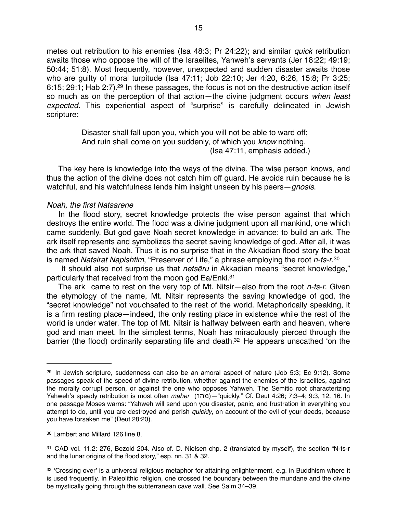metes out retribution to his enemies (Isa 48:3; Pr 24:22); and similar *quick* retribution awaits those who oppose the will of the Israelites, Yahweh's servants (Jer 18:22; 49:19; 50:44; 51:8). Most frequently, however, unexpected and sudden disaster awaits those who are guilty of moral turpitude (Isa 47:11; Job 22:10; Jer 4:20, 6:26, 15:8; Pr 3:25; 6:15; 29:1; Hab 2:7)[.29](#page-14-0) In these passages, the focus is not on the destructive action itself so much as on the perception of that action—the divine judgment occurs *when least expected.* This experiential aspect of "surprise" is carefully delineated in Jewish scripture:

> Disaster shall fall upon you, which you will not be able to ward off; And ruin shall come on you suddenly, of which you *know* nothing. (Isa 47:11, emphasis added.)

The key here is knowledge into the ways of the divine. The wise person knows, and thus the action of the divine does not catch him off guard. He avoids ruin because he is watchful, and his watchfulness lends him insight unseen by his peers—*gnosis*.

#### *Noah, the first Natsarene*

In the flood story, secret knowledge protects the wise person against that which destroys the entire world. The flood was a divine judgment upon all mankind, one which came suddenly. But god gave Noah secret knowledge in advance: to build an ark. The ark itself represents and symbolizes the secret saving knowledge of god. After all, it was the ark that saved Noah. Thus it is no surprise that in the Akkadian flood story the boat is named *Natsirat Napishtim*, "Preserver of Life," a phrase employing the root *n-ts-r*.[30](#page-14-1)

 It should also not surprise us that *nets*ē*ru* in Akkadian means "secret knowledge," particularly that received from the moon god Ea/Enki.<sup>31</sup>

The ark came to rest on the very top of Mt. Nitsir—also from the root *n-ts-r*. Given the etymology of the name, Mt. Nitsir represents the saving knowledge of god, the "secret knowledge" not vouchsafed to the rest of the world. Metaphorically speaking, it is a firm resting place—indeed, the only resting place in existence while the rest of the world is under water. The top of Mt. Nitsir is halfway between earth and heaven, where god and man meet. In the simplest terms, Noah has miraculously pierced through the barrier (the flood) ordinarily separating life and death.<sup>32</sup> He appears unscathed 'on the

<span id="page-14-0"></span> $29$  In Jewish scripture, suddenness can also be an amoral aspect of nature (Job  $5:3$ ; Ec  $9:12$ ). Some passages speak of the speed of divine retribution, whether against the enemies of the Israelites, against the morally corrupt person, or against the one who opposes Yahweh. The Semitic root characterizing Yahweh's speedy retribution is most often *maher* (מהר"—(quickly." Cf. Deut 4:26; 7:3–4; 9:3, 12, 16. In one passage Moses warns: "Yahweh will send upon you disaster, panic, and frustration in everything you attempt to do, until you are destroyed and perish *quickly*, on account of the evil of your deeds, because you have forsaken me" (Deut 28:20).

<span id="page-14-1"></span><sup>30</sup> Lambert and Millard 126 line 8.

<span id="page-14-2"></span><sup>31</sup> CAD vol. 11.2: 276, Bezold 204. Also cf. D. Nielsen chp. 2 (translated by myself), the section "N-ts-r and the lunar origins of the flood story," esp. nn. 31 & 32.

<span id="page-14-3"></span><sup>32 &#</sup>x27;Crossing over' is a universal religious metaphor for attaining enlightenment, e.g. in Buddhism where it is used frequently. In Paleolithic religion, one crossed the boundary between the mundane and the divine be mystically going through the subterranean cave wall. See Salm 34–39.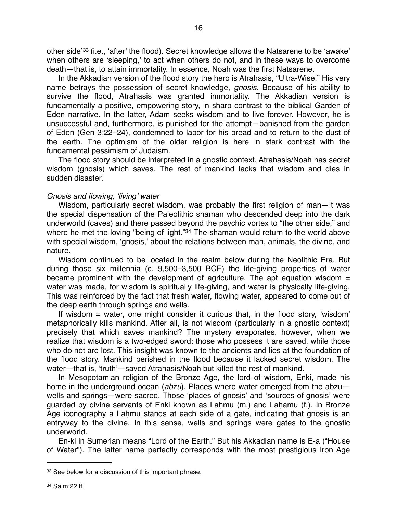other side'[33](#page-15-0) (i.e., ʻafter' the flood). Secret knowledge allows the Natsarene to be ʻawake' when others are ʻsleeping,' to act when others do not, and in these ways to overcome death—that is, to attain immortality. In essence, Noah was the first Natsarene.

In the Akkadian version of the flood story the hero is Atrahasis, "Ultra-Wise." His very name betrays the possession of secret knowledge, *gnosis*. Because of his ability to survive the flood, Atrahasis was granted immortality. The Akkadian version is fundamentally a positive, empowering story, in sharp contrast to the biblical Garden of Eden narrative. In the latter, Adam seeks wisdom and to live forever. However, he is unsuccessful and, furthermore, is punished for the attempt—banished from the garden of Eden (Gen 3:22–24), condemned to labor for his bread and to return to the dust of the earth. The optimism of the older religion is here in stark contrast with the fundamental pessimism of Judaism.

The flood story should be interpreted in a gnostic context. Atrahasis/Noah has secret wisdom (gnosis) which saves. The rest of mankind lacks that wisdom and dies in sudden disaster.

#### *Gnosis and flowing,* ʻ*living*' *water*

Wisdom, particularly secret wisdom, was probably the first religion of man—it was the special dispensation of the Paleolithic shaman who descended deep into the dark underworld (caves) and there passed beyond the psychic vortex to "the other side," and where he met the loving "being of light."<sup>[34](#page-15-1)</sup> The shaman would return to the world above with special wisdom, ʻgnosis,' about the relations between man, animals, the divine, and nature.

Wisdom continued to be located in the realm below during the Neolithic Era. But during those six millennia (c. 9,500–3,500 BCE) the life-giving properties of water became prominent with the development of agriculture. The apt equation wisdom  $=$ water was made, for wisdom is spiritually life-giving, and water is physically life-giving. This was reinforced by the fact that fresh water, flowing water, appeared to come out of the deep earth through springs and wells.

If wisdom = water, one might consider it curious that, in the flood story, ʻwisdom' metaphorically kills mankind. After all, is not wisdom (particularly in a gnostic context) precisely that which saves mankind? The mystery evaporates, however, when we realize that wisdom is a two-edged sword: those who possess it are saved, while those who do not are lost. This insight was known to the ancients and lies at the foundation of the flood story. Mankind perished in the flood because it lacked secret wisdom. The water—that is, ʻtruth'—saved Atrahasis/Noah but killed the rest of mankind.

In Mesopotamian religion of the Bronze Age, the lord of wisdom, Enki, made his home in the underground ocean (*abzu*). Places where water emerged from the abzu wells and springs—were sacred. Those ʻplaces of gnosis' and ʻsources of gnosis' were guarded by divine servants of Enki known as Laḥmu (m.) and Laḥamu (f.). In Bronze Age iconography a Lahmu stands at each side of a gate, indicating that gnosis is an entryway to the divine. In this sense, wells and springs were gates to the gnostic underworld.

En-ki in Sumerian means "Lord of the Earth." But his Akkadian name is E-a ("House of Water"). The latter name perfectly corresponds with the most prestigious Iron Age

<span id="page-15-1"></span><span id="page-15-0"></span><sup>33</sup> See below for a discussion of this important phrase.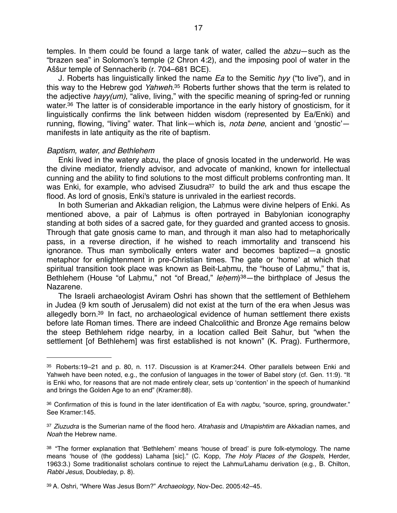temples. In them could be found a large tank of water, called the *abzu*—such as the "brazen sea" in Solomon's temple (2 Chron 4:2), and the imposing pool of water in the Aŝŝur temple of Sennacherib (r. 704–681 BCE).

J. Roberts has linguistically linked the name *Ea* to the Semitic *hyy* ("to live"), and in this way to the Hebrew god *Yahweh*[.35](#page-16-0) Roberts further shows that the term is related to the adjective *hayy(um)*, "alive, living," with the specific meaning of spring-fed or running water.<sup>36</sup> The latter is of considerable importance in the early history of gnosticism, for it linguistically confirms the link between hidden wisdom (represented by Ea/Enki) and running, flowing, "living" water. That link—which is, *nota bene*, ancient and ʻgnostic' manifests in late antiquity as the rite of baptism.

#### *Baptism, water, and Bethlehem*

Enki lived in the watery abzu, the place of gnosis located in the underworld. He was the divine mediator, friendly advisor, and advocate of mankind, known for intellectual cunning and the ability to find solutions to the most difficult problems confronting man. It was Enki, for example, who advised Ziusudra<sup>37</sup> to build the ark and thus escape the flood. As lord of gnosis, Enki's stature is unrivaled in the earliest records.

In both Sumerian and Akkadian religion, the Lahmus were divine helpers of Enki. As mentioned above, a pair of Laḥmus is often portrayed in Babylonian iconography standing at both sides of a sacred gate, for they guarded and granted access to gnosis. Through that gate gnosis came to man, and through it man also had to metaphorically pass, in a reverse direction, if he wished to reach immortality and transcend his ignorance. Thus man symbolically enters water and becomes baptized—a gnostic metaphor for enlightenment in pre-Christian times. The gate or ʻhome' at which that spiritual transition took place was known as Beit-Laḥmu, the "house of Laḥmu," that is, Bethlehem (House "of Laḥmu," not "of Bread," *le*ḥ*em*)[38—](#page-16-3)the birthplace of Jesus the Nazarene.

The Israeli archaeologist Aviram Oshri has shown that the settlement of Bethlehem in Judea (9 km south of Jerusalem) did not exist at the turn of the era when Jesus was allegedly born[.39](#page-16-4) In fact, no archaeological evidence of human settlement there exists before late Roman times. There are indeed Chalcolithic and Bronze Age remains below the steep Bethlehem ridge nearby, in a location called Beit Sahur, but "when the settlement [of Bethlehem] was first established is not known" (K. Prag). Furthermore,

<span id="page-16-0"></span><sup>35</sup> Roberts:19–21 and p. 80, n. 117. Discussion is at Kramer:244. Other parallels between Enki and Yahweh have been noted, e.g., the confusion of languages in the tower of Babel story (cf. Gen. 11:9). "It is Enki who, for reasons that are not made entirely clear, sets up ʻcontention' in the speech of humankind and brings the Golden Age to an end" (Kramer:88).

<span id="page-16-1"></span><sup>36</sup> Confirmation of this is found in the later identification of Ea with *nagbu*, "source, spring, groundwater." See Kramer:145.

<span id="page-16-2"></span><sup>37</sup> *Ziuzudra* is the Sumerian name of the flood hero. *Atrahasis* and *Utnapishtim* are Akkadian names, and *Noah* the Hebrew name.

<span id="page-16-3"></span><sup>38 &</sup>quot;The former explanation that 'Bethlehem' means 'house of bread' is pure folk-etymology. The name means ʻhouse of (the goddess) Lahama [sic]." (C. Kopp, *The Holy Places of the Gospels*, Herder, 1963:3.) Some traditionalist scholars continue to reject the Lahmu/Lahamu derivation (e.g., B. Chilton, *Rabbi Jesus*, Doubleday, p. 8).

<span id="page-16-4"></span><sup>39</sup> A. Oshri, "Where Was Jesus Born?" *Archaeology*, Nov-Dec. 2005:42–45.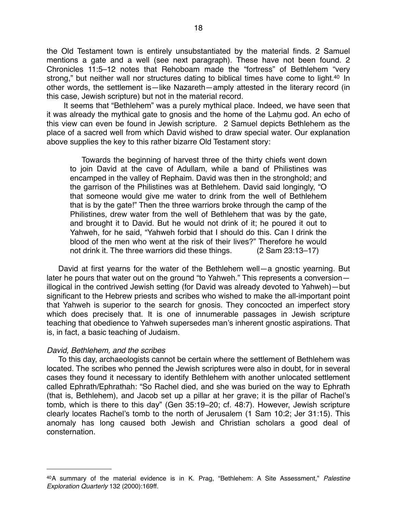the Old Testament town is entirely unsubstantiated by the material finds. 2 Samuel mentions a gate and a well (see next paragraph). These have not been found. 2 Chronicles 11:5–12 notes that Rehoboam made the "fortress" of Bethlehem "very strong," but neither wall nor structures dating to biblical times have come to light.<sup>40</sup> In other words, the settlement is—like Nazareth—amply attested in the literary record (in this case, Jewish scripture) but not in the material record.

 It seems that "Bethlehem" was a purely mythical place. Indeed, we have seen that it was already the mythical gate to gnosis and the home of the Lahmu god. An echo of this view can even be found in Jewish scripture. 2 Samuel depicts Bethlehem as the place of a sacred well from which David wished to draw special water. Our explanation above supplies the key to this rather bizarre Old Testament story:

Towards the beginning of harvest three of the thirty chiefs went down to join David at the cave of Adullam, while a band of Philistines was encamped in the valley of Rephaim. David was then in the stronghold; and the garrison of the Philistines was at Bethlehem. David said longingly, "O that someone would give me water to drink from the well of Bethlehem that is by the gate!" Then the three warriors broke through the camp of the Philistines, drew water from the well of Bethlehem that was by the gate, and brought it to David. But he would not drink of it; he poured it out to Yahweh, for he said, "Yahweh forbid that I should do this. Can I drink the blood of the men who went at the risk of their lives?" Therefore he would not drink it. The three warriors did these things. (2 Sam 23:13–17)

David at first yearns for the water of the Bethlehem well—a gnostic yearning. But later he pours that water out on the ground "to Yahweh." This represents a conversion illogical in the contrived Jewish setting (for David was already devoted to Yahweh)—but significant to the Hebrew priests and scribes who wished to make the all-important point that Yahweh is superior to the search for gnosis. They concocted an imperfect story which does precisely that. It is one of innumerable passages in Jewish scripture teaching that obedience to Yahweh supersedes man's inherent gnostic aspirations. That is, in fact, a basic teaching of Judaism.

#### *David, Bethlehem, and the scribes*

To this day, archaeologists cannot be certain where the settlement of Bethlehem was located. The scribes who penned the Jewish scriptures were also in doubt, for in several cases they found it necessary to identify Bethlehem with another unlocated settlement called Ephrath/Ephrathah: "So Rachel died, and she was buried on the way to Ephrath (that is, Bethlehem), and Jacob set up a pillar at her grave; it is the pillar of Rachel's tomb, which is there to this day" (Gen 35:19–20; cf. 48:7). However, Jewish scripture clearly locates Rachel's tomb to the north of Jerusalem (1 Sam 10:2; Jer 31:15). This anomaly has long caused both Jewish and Christian scholars a good deal of consternation.

<span id="page-17-0"></span><sup>40</sup>A summary of the material evidence is in K. Prag, "Bethlehem: A Site Assessment," *Palestine Exploration Quarterly* 132 (2000):169ff.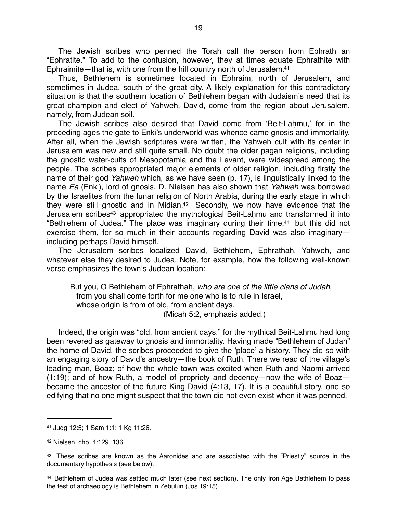The Jewish scribes who penned the Torah call the person from Ephrath an "Ephratite." To add to the confusion, however, they at times equate Ephrathite with Ephraimite—that is, with one from the hill country north of Jerusalem[.41](#page-18-0)

Thus, Bethlehem is sometimes located in Ephraim, north of Jerusalem, and sometimes in Judea, south of the great city. A likely explanation for this contradictory situation is that the southern location of Bethlehem began with Judaism's need that its great champion and elect of Yahweh, David, come from the region about Jerusalem, namely, from Judean soil.

The Jewish scribes also desired that David come from ʻBeit-Laḥmu,' for in the preceding ages the gate to Enki's underworld was whence came gnosis and immortality. After all, when the Jewish scriptures were written, the Yahweh cult with its center in Jerusalem was new and still quite small. No doubt the older pagan religions, including the gnostic water-cults of Mesopotamia and the Levant, were widespread among the people. The scribes appropriated major elements of older religion, including firstly the name of their god *Yahweh* which, as we have seen (p. 17), is linguistically linked to the name *Ea* (Enki), lord of gnosis. D. Nielsen has also shown that *Yahweh* was borrowed by the Israelites from the lunar religion of North Arabia, during the early stage in which they were still gnostic and in Midian[.42](#page-18-1) Secondly, we now have evidence that the Jerusalem scribes<sup>43</sup> appropriated the mythological Beit-Lahmu and transformed it into "Bethlehem of Judea." The place was imaginary during their time,<sup>44</sup> but this did not exercise them, for so much in their accounts regarding David was also imaginary including perhaps David himself.

The Jerusalem scribes localized David, Bethlehem, Ephrathah, Yahweh, and whatever else they desired to Judea. Note, for example, how the following well-known verse emphasizes the town's Judean location:

But you, O Bethlehem of Ephrathah, *who are one of the little clans of Judah*, from you shall come forth for me one who is to rule in Israel, whose origin is from of old, from ancient days. (Micah 5:2, emphasis added.)

Indeed, the origin was "old, from ancient days," for the mythical Beit-Laḥmu had long been revered as gateway to gnosis and immortality. Having made "Bethlehem of Judah" the home of David, the scribes proceeded to give the ʻplace' a history. They did so with an engaging story of David's ancestry—the book of Ruth. There we read of the village's leading man, Boaz; of how the whole town was excited when Ruth and Naomi arrived (1:19); and of how Ruth, a model of propriety and decency—now the wife of Boaz became the ancestor of the future King David (4:13, 17). It is a beautiful story, one so edifying that no one might suspect that the town did not even exist when it was penned.

<span id="page-18-0"></span><sup>41</sup> Judg 12:5; 1 Sam 1:1; 1 Kg 11:26.

<span id="page-18-1"></span><sup>42</sup> Nielsen, chp. 4:129, 136.

<span id="page-18-2"></span><sup>&</sup>lt;sup>43</sup> These scribes are known as the Aaronides and are associated with the "Priestly" source in the documentary hypothesis (see below).

<span id="page-18-3"></span><sup>44</sup> Bethlehem of Judea was settled much later (see next section). The only Iron Age Bethlehem to pass the test of archaeology is Bethlehem in Zebulun (Jos 19:15).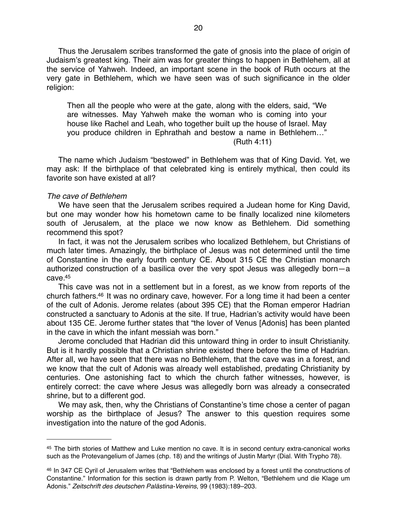Thus the Jerusalem scribes transformed the gate of gnosis into the place of origin of Judaism's greatest king. Their aim was for greater things to happen in Bethlehem, all at the service of Yahweh. Indeed, an important scene in the book of Ruth occurs at the very gate in Bethlehem, which we have seen was of such significance in the older religion:

Then all the people who were at the gate, along with the elders, said, "We are witnesses. May Yahweh make the woman who is coming into your house like Rachel and Leah, who together built up the house of Israel. May you produce children in Ephrathah and bestow a name in Bethlehem…"  $(Ruth 4:11)$ 

The name which Judaism "bestowed" in Bethlehem was that of King David. Yet, we may ask: If the birthplace of that celebrated king is entirely mythical, then could its favorite son have existed at all?

#### *The cave of Bethlehem*

We have seen that the Jerusalem scribes required a Judean home for King David, but one may wonder how his hometown came to be finally localized nine kilometers south of Jerusalem, at the place we now know as Bethlehem. Did something recommend this spot?

In fact, it was not the Jerusalem scribes who localized Bethlehem, but Christians of much later times. Amazingly, the birthplace of Jesus was not determined until the time of Constantine in the early fourth century CE. About 315 CE the Christian monarch authorized construction of a basilica over the very spot Jesus was allegedly born—a  $c$ ave $45$ 

This cave was not in a settlement but in a forest, as we know from reports of the church fathers[.46](#page-19-1) It was no ordinary cave, however. For a long time it had been a center of the cult of Adonis. Jerome relates (about 395 CE) that the Roman emperor Hadrian constructed a sanctuary to Adonis at the site. If true, Hadrian's activity would have been about 135 CE. Jerome further states that "the lover of Venus [Adonis] has been planted in the cave in which the infant messiah was born."

Jerome concluded that Hadrian did this untoward thing in order to insult Christianity. But is it hardly possible that a Christian shrine existed there before the time of Hadrian. After all, we have seen that there was no Bethlehem, that the cave was in a forest, and we know that the cult of Adonis was already well established, predating Christianity by centuries. One astonishing fact to which the church father witnesses, however, is entirely correct: the cave where Jesus was allegedly born was already a consecrated shrine, but to a different god.

We may ask, then, why the Christians of Constantine's time chose a center of pagan worship as the birthplace of Jesus? The answer to this question requires some investigation into the nature of the god Adonis.

<span id="page-19-0"></span><sup>45</sup> The birth stories of Matthew and Luke mention no cave. It is in second century extra-canonical works such as the Protevangelium of James (chp. 18) and the writings of Justin Martyr (Dial. With Trypho 78).

<span id="page-19-1"></span><sup>46</sup> In 347 CE Cyril of Jerusalem writes that "Bethlehem was enclosed by a forest until the constructions of Constantine." Information for this section is drawn partly from P. Welton, "Bethlehem und die Klage um Adonis." *Zeitschrift des deutschen Palästina-Vereins*, 99 (1983):189–203.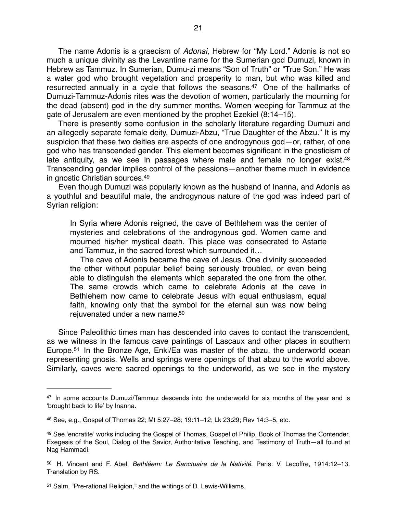The name Adonis is a graecism of *Adonai*, Hebrew for "My Lord." Adonis is not so much a unique divinity as the Levantine name for the Sumerian god Dumuzi, known in Hebrew as Tammuz. In Sumerian, Dumu-zi means "Son of Truth" or "True Son." He was a water god who brought vegetation and prosperity to man, but who was killed and resurrected annually in a cycle that follows the seasons.<sup>47</sup> One of the hallmarks of Dumuzi-Tammuz-Adonis rites was the devotion of women, particularly the mourning for the dead (absent) god in the dry summer months. Women weeping for Tammuz at the gate of Jerusalem are even mentioned by the prophet Ezekiel (8:14–15).

There is presently some confusion in the scholarly literature regarding Dumuzi and an allegedly separate female deity, Dumuzi-Abzu, "True Daughter of the Abzu." It is my suspicion that these two deities are aspects of one androgynous god—or, rather, of one god who has transcended gender. This element becomes significant in the gnosticism of late antiquity, as we see in passages where male and female no longer exist.<sup>48</sup> Transcending gender implies control of the passions—another theme much in evidence in gnostic Christian sources[.49](#page-20-2)

Even though Dumuzi was popularly known as the husband of Inanna, and Adonis as a youthful and beautiful male, the androgynous nature of the god was indeed part of Syrian religion:

In Syria where Adonis reigned, the cave of Bethlehem was the center of mysteries and celebrations of the androgynous god. Women came and mourned his/her mystical death. This place was consecrated to Astarte and Tammuz, in the sacred forest which surrounded it…

 The cave of Adonis became the cave of Jesus. One divinity succeeded the other without popular belief being seriously troubled, or even being able to distinguish the elements which separated the one from the other. The same crowds which came to celebrate Adonis at the cave in Bethlehem now came to celebrate Jesus with equal enthusiasm, equal faith, knowing only that the symbol for the eternal sun was now being rejuvenated under a new name.<sup>50</sup>

Since Paleolithic times man has descended into caves to contact the transcendent, as we witness in the famous cave paintings of Lascaux and other places in southern Europe.<sup>51</sup> In the Bronze Age, Enki/Ea was master of the abzu, the underworld ocean representing gnosis. Wells and springs were openings of that abzu to the world above. Similarly, caves were sacred openings to the underworld, as we see in the mystery

<span id="page-20-0"></span><sup>47</sup> In some accounts Dumuzi/Tammuz descends into the underworld for six months of the year and is ʻbrought back to life' by Inanna.

<span id="page-20-1"></span><sup>48</sup> See, e.g., Gospel of Thomas 22; Mt 5:27–28; 19:11–12; Lk 23:29; Rev 14:3–5, etc.

<span id="page-20-2"></span><sup>49</sup> See ʻencratite' works including the Gospel of Thomas, Gospel of Philip, Book of Thomas the Contender, Exegesis of the Soul, Dialog of the Savior, Authoritative Teaching, and Testimony of Truth—all found at Nag Hammadi.

<span id="page-20-3"></span><sup>50</sup> H. Vincent and F. Abel, *Bethléem: Le Sanctuaire de la Nativité*. Paris: V. Lecoffre, 1914:12–13. Translation by RS.

<span id="page-20-4"></span><sup>51</sup> Salm, "Pre-rational Religion," and the writings of D. Lewis-Williams.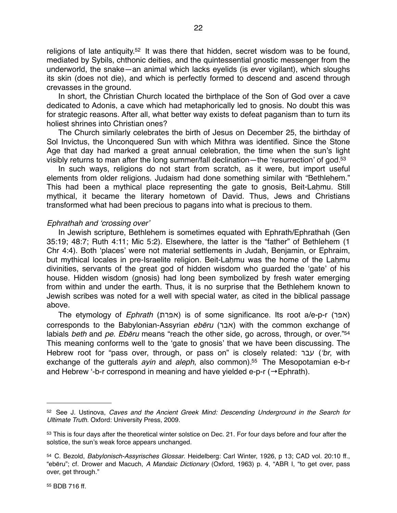religions of late antiquity[.52](#page-21-0) It was there that hidden, secret wisdom was to be found, mediated by Sybils, chthonic deities, and the quintessential gnostic messenger from the underworld, the snake—an animal which lacks eyelids (is ever vigilant), which sloughs its skin (does not die), and which is perfectly formed to descend and ascend through crevasses in the ground.

In short, the Christian Church located the birthplace of the Son of God over a cave dedicated to Adonis, a cave which had metaphorically led to gnosis. No doubt this was for strategic reasons. After all, what better way exists to defeat paganism than to turn its holiest shrines into Christian ones?

The Church similarly celebrates the birth of Jesus on December 25, the birthday of Sol Invictus, the Unconquered Sun with which Mithra was identified. Since the Stone Age that day had marked a great annual celebration, the time when the sun's light visibly returns to man after the long summer/fall declination—the ʻresurrection' of god[.53](#page-21-1)

In such ways, religions do not start from scratch, as it were, but import useful elements from older religions. Judaism had done something similar with "Bethlehem." This had been a mythical place representing the gate to gnosis, Beit-Laḥmu. Still mythical, it became the literary hometown of David. Thus, Jews and Christians transformed what had been precious to pagans into what is precious to them.

### *Ephrathah and* ʻ*crossing over*'

In Jewish scripture, Bethlehem is sometimes equated with Ephrath/Ephrathah (Gen 35:19; 48:7; Ruth 4:11; Mic 5:2). Elsewhere, the latter is the "father" of Bethlehem (1 Chr 4:4). Both ʻplaces' were not material settlements in Judah, Benjamin, or Ephraim, but mythical locales in pre-Israelite religion. Beit-Laḥmu was the home of the Laḥmu divinities, servants of the great god of hidden wisdom who guarded the ʻgate' of his house. Hidden wisdom (gnosis) had long been symbolized by fresh water emerging from within and under the earth. Thus, it is no surprise that the Bethlehem known to Jewish scribes was noted for a well with special water, as cited in the biblical passage above.

The etymology of *Ephrath* (אפרת) is of some significance. Its root a/e-p-r (אפר corresponds to the Babylonian-Assyrian *eb*ē*ru* (אבר (with the common exchange of labials *beth* and *pe*. *Eb*ē*ru* means "reach the other side, go across, through, or over.["54](#page-21-2) This meaning conforms well to the ʻgate to gnosis' that we have been discussing. The Hebrew root for "pass over, through, or pass on" is closely related: עבר) ʻ*br*, with exchange of the gutterals *ayin* and *aleph*, also common)[.55](#page-21-3) The Mesopotamian e-b-r and Hebrew '-b-r correspond in meaning and have yielded e-p-r ( $\rightarrow$  Ephrath).

<span id="page-21-0"></span><sup>52</sup> See J. Ustinova, *Caves and the Ancient Greek Mind: Descending Underground in the Search for Ultimate Truth*. Oxford: University Press, 2009.

<span id="page-21-1"></span><sup>53</sup> This is four days after the theoretical winter solstice on Dec. 21. For four days before and four after the solstice, the sun's weak force appears unchanged.

<span id="page-21-3"></span><span id="page-21-2"></span><sup>54</sup> C. Bezold, *Babylonisch-Assyrisches Glossar*. Heidelberg: Carl Winter, 1926, p 13; CAD vol. 20:10 ff., "ebēru"; cf. Drower and Macuch, *A Mandaic Dictionary* (Oxford, 1963) p. 4, "ABR I, "to get over, pass over, get through."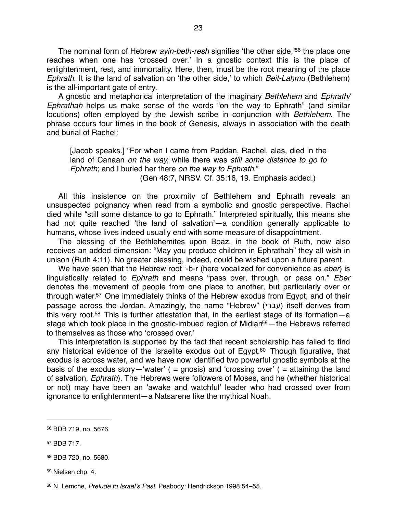The nominal form of Hebrew *ayin-beth-resh* signifies ʻthe other side,' [56](#page-22-0) the place one reaches when one has ʻcrossed over.' In a gnostic context this is the place of enlightenment, rest, and immortality. Here, then, must be the root meaning of the place *Ephrath*. It is the land of salvation on ʻthe other side,' to which *Beit-La*ḥ*mu* (Bethlehem) is the all-important gate of entry.

A gnostic and metaphorical interpretation of the imaginary *Bethlehem* and *Ephrath/ Ephrathah* helps us make sense of the words "on the way to Ephrath" (and similar locutions) often employed by the Jewish scribe in conjunction with *Bethlehem*. The phrase occurs four times in the book of Genesis, always in association with the death and burial of Rachel:

[Jacob speaks.] "For when I came from Paddan, Rachel, alas, died in the land of Canaan *on the way,* while there was *still some distance to go to Ephrath*; and I buried her there *on the way to Ephrath*." (Gen 48:7, NRSV. Cf. 35:16, 19. Emphasis added.)

All this insistence on the proximity of Bethlehem and Ephrath reveals an unsuspected poignancy when read from a symbolic and gnostic perspective. Rachel died while "still some distance to go to Ephrath." Interpreted spiritually, this means she had not quite reached ʻthe land of salvation'—a condition generally applicable to humans, whose lives indeed usually end with some measure of disappointment.

The blessing of the Bethlehemites upon Boaz, in the book of Ruth, now also receives an added dimension: "May you produce children in Ephrathah" they all wish in unison (Ruth 4:11). No greater blessing, indeed, could be wished upon a future parent.

We have seen that the Hebrew root ʻ-b-r (here vocalized for convenience as *eber*) is linguistically related to *Ephrath* and means "pass over, through, or pass on." *Eber* denotes the movement of people from one place to another, but particularly over or through water[.57](#page-22-1) One immediately thinks of the Hebrew exodus from Egypt, and of their passage across the Jordan. Amazingly, the name "Hebrew" (עברי) itself derives from this very root[.58](#page-22-2) This is further attestation that, in the earliest stage of its formation—a stage which took place in the gnostic-imbued region of Midian<sup>59</sup> — the Hebrews referred to themselves as those who ʻcrossed over.'

This interpretation is supported by the fact that recent scholarship has failed to find any historical evidence of the Israelite exodus out of Egypt.<sup>60</sup> Though figurative, that exodus is across water, and we have now identified two powerful gnostic symbols at the basis of the exodus story—'water' ( = gnosis) and 'crossing over' ( = attaining the land of salvation, *Ephrath*). The Hebrews were followers of Moses, and he (whether historical or not) may have been an ʻawake and watchful' leader who had crossed over from ignorance to enlightenment—a Natsarene like the mythical Noah.

<span id="page-22-4"></span>60 N. Lemche, *Prelude to Israel*'*s Past*. Peabody: Hendrickson 1998:54–55.

<span id="page-22-0"></span><sup>56</sup> BDB 719, no. 5676.

<span id="page-22-1"></span><sup>57</sup> BDB 717.

<span id="page-22-2"></span><sup>58</sup> BDB 720, no. 5680.

<span id="page-22-3"></span><sup>59</sup> Nielsen chp. 4.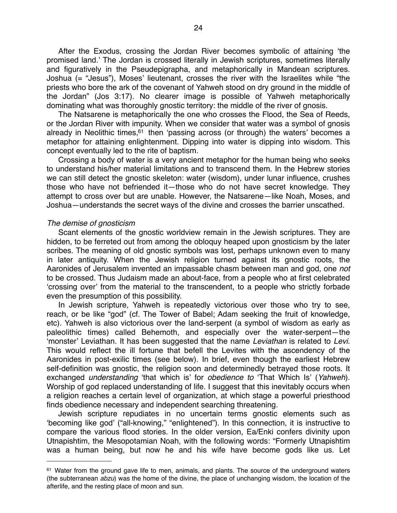After the Exodus, crossing the Jordan River becomes symbolic of attaining ʻthe promised land.' The Jordan is crossed literally in Jewish scriptures, sometimes literally and figuratively in the Pseudepigrapha, and metaphorically in Mandean scriptures. Joshua (= "Jesus"), Moses' lieutenant, crosses the river with the Israelites while "the priests who bore the ark of the covenant of Yahweh stood on dry ground in the middle of the Jordan" (Jos 3:17). No clearer image is possible of Yahweh metaphorically dominating what was thoroughly gnostic territory: the middle of the river of gnosis.

The Natsarene is metaphorically the one who crosses the Flood, the Sea of Reeds, or the Jordan River with impunity. When we consider that water was a symbol of gnosis already in Neolithic times, $61$  then 'passing across (or through) the waters' becomes a metaphor for attaining enlightenment. Dipping into water is dipping into wisdom. This concept eventually led to the rite of baptism.

Crossing a body of water is a very ancient metaphor for the human being who seeks to understand his/her material limitations and to transcend them. In the Hebrew stories we can still detect the gnostic skeleton: water (wisdom), under lunar influence, crushes those who have not befriended it—those who do not have secret knowledge. They attempt to cross over but are unable. However, the Natsarene—like Noah, Moses, and Joshua—understands the secret ways of the divine and crosses the barrier unscathed.

#### *The demise of gnosticism*

Scant elements of the gnostic worldview remain in the Jewish scriptures. They are hidden, to be ferreted out from among the obloquy heaped upon gnosticism by the later scribes. The meaning of old gnostic symbols was lost, perhaps unknown even to many in later antiquity. When the Jewish religion turned against its gnostic roots, the Aaronides of Jerusalem invented an impassable chasm between man and god, one *not* to be crossed. Thus Judaism made an about-face, from a people who at first celebrated ʻcrossing over' from the material to the transcendent, to a people who strictly forbade even the presumption of this possibility.

In Jewish scripture, Yahweh is repeatedly victorious over those who try to see, reach, or be like "god" (cf. The Tower of Babel; Adam seeking the fruit of knowledge, etc). Yahweh is also victorious over the land-serpent (a symbol of wisdom as early as paleolithic times) called Behemoth, and especially over the water-serpent—the ʻmonster' Leviathan. It has been suggested that the name *Leviathan* is related to *Levi*. This would reflect the ill fortune that befell the Levites with the ascendency of the Aaronides in post-exilic times (see below). In brief, even though the earliest Hebrew self-definition was gnostic, the religion soon and determinedly betrayed those roots. It exchanged *understanding* ʻthat which is' for *obedience to* ʻThat Which Is' (*Yahweh*). Worship of god replaced understanding of life. I suggest that this inevitably occurs when a religion reaches a certain level of organization, at which stage a powerful priesthood finds obedience necessary and independent searching threatening.

Jewish scripture repudiates in no uncertain terms gnostic elements such as ʻbecoming like god' ("all-knowing," "enlightened"). In this connection, it is instructive to compare the various flood stories. In the older version, Ea/Enki confers divinity upon Utnapishtim, the Mesopotamian Noah, with the following words: "Formerly Utnapishtim was a human being, but now he and his wife have become gods like us. Let

<span id="page-23-0"></span><sup>&</sup>lt;sup>61</sup> Water from the ground gave life to men, animals, and plants. The source of the underground waters (the subterranean *abzu*) was the home of the divine, the place of unchanging wisdom, the location of the afterlife, and the resting place of moon and sun.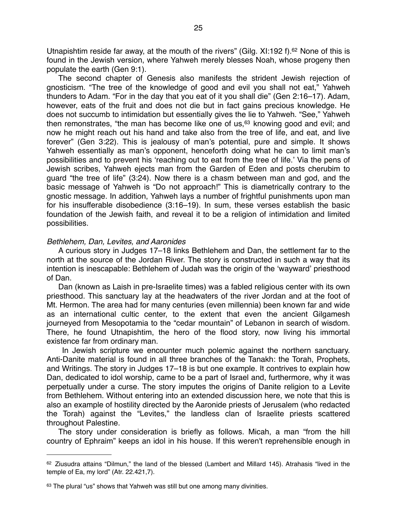Utnapishtim reside far away, at the mouth of the rivers" (Gilg. XI:192 f).<sup>62</sup> None of this is found in the Jewish version, where Yahweh merely blesses Noah, whose progeny then populate the earth (Gen 9:1).

The second chapter of Genesis also manifests the strident Jewish rejection of gnosticism. "The tree of the knowledge of good and evil you shall not eat," Yahweh thunders to Adam. "For in the day that you eat of it you shall die" (Gen 2:16–17). Adam, however, eats of the fruit and does not die but in fact gains precious knowledge. He does not succumb to intimidation but essentially gives the lie to Yahweh. "See," Yahweh then remonstrates, "the man has become like one of  $us,63$  $us,63$  knowing good and evil; and now he might reach out his hand and take also from the tree of life, and eat, and live forever" (Gen 3:22). This is jealousy of man's potential, pure and simple. It shows Yahweh essentially as man's opponent, henceforth doing what he can to limit man's possibilities and to prevent his ʻreaching out to eat from the tree of life.' Via the pens of Jewish scribes, Yahweh ejects man from the Garden of Eden and posts cherubim to guard "the tree of life" (3:24). Now there is a chasm between man and god, and the basic message of Yahweh is "Do not approach!" This is diametrically contrary to the gnostic message. In addition, Yahweh lays a number of frightful punishments upon man for his insufferable disobedience (3:16–19). In sum, these verses establish the basic foundation of the Jewish faith, and reveal it to be a religion of intimidation and limited possibilities.

#### *Bethlehem, Dan, Levites, and Aaronides*

A curious story in Judges 17–18 links Bethlehem and Dan, the settlement far to the north at the source of the Jordan River. The story is constructed in such a way that its intention is inescapable: Bethlehem of Judah was the origin of the ʻwayward' priesthood of Dan.

Dan (known as Laish in pre-Israelite times) was a fabled religious center with its own priesthood. This sanctuary lay at the headwaters of the river Jordan and at the foot of Mt. Hermon. The area had for many centuries (even millennia) been known far and wide as an international cultic center, to the extent that even the ancient Gilgamesh journeyed from Mesopotamia to the "cedar mountain" of Lebanon in search of wisdom. There, he found Utnapishtim, the hero of the flood story, now living his immortal existence far from ordinary man.

 In Jewish scripture we encounter much polemic against the northern sanctuary. Anti-Danite material is found in all three branches of the Tanakh: the Torah, Prophets, and Writings. The story in Judges 17–18 is but one example. It contrives to explain how Dan, dedicated to idol worship, came to be a part of Israel and, furthermore, why it was perpetually under a curse. The story imputes the origins of Danite religion to a Levite from Bethlehem. Without entering into an extended discussion here, we note that this is also an example of hostility directed by the Aaronide priests of Jerusalem (who redacted the Torah) against the "Levites," the landless clan of Israelite priests scattered throughout Palestine.

The story under consideration is briefly as follows. Micah, a man "from the hill country of Ephraim" keeps an idol in his house. If this weren't reprehensible enough in

<span id="page-24-0"></span> $62$  Ziusudra attains "Dilmun," the land of the blessed (Lambert and Millard 145). Atrahasis "lived in the temple of Ea, my lord" (Atr. 22.421,7).

<span id="page-24-1"></span><sup>63</sup> The plural "us" shows that Yahweh was still but one among many divinities.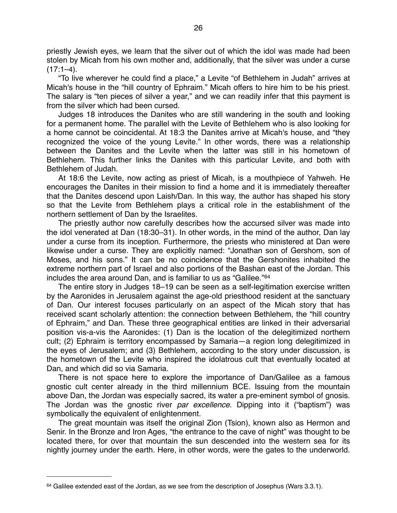priestly Jewish eyes, we learn that the silver out of which the idol was made had been stolen by Micah from his own mother and, additionally, that the silver was under a curse  $(17:1-4)$ .

"To live wherever he could find a place," a Levite "of Bethlehem in Judah" arrives at Micah's house in the "hill country of Ephraim." Micah offers to hire him to be his priest. The salary is "ten pieces of silver a year," and we can readily infer that this payment is from the silver which had been cursed.

Judges 18 introduces the Danites who are still wandering in the south and looking for a permanent home. The parallel with the Levite of Bethlehem who is also looking for a home cannot be coincidental. At 18:3 the Danites arrive at Micah's house, and "they recognized the voice of the young Levite." In other words, there was a relationship between the Danites and the Levite when the latter was still in his hometown of Bethlehem. This further links the Danites with this particular Levite, and both with Bethlehem of Judah.

At 18:6 the Levite, now acting as priest of Micah, is a mouthpiece of Yahweh. He encourages the Danites in their mission to find a home and it is immediately thereafter that the Danites descend upon Laish/Dan. In this way, the author has shaped his story so that the Levite from Bethlehem plays a critical role in the establishment of the northern settlement of Dan by the Israelites.

The priestly author now carefully describes how the accursed silver was made into the idol venerated at Dan (18:30–31). In other words, in the mind of the author, Dan lay under a curse from its inception. Furthermore, the priests who ministered at Dan were likewise under a curse. They are explicitly named: "Jonathan son of Gershom, son of Moses, and his sons." It can be no coincidence that the Gershonites inhabited the extreme northern part of Israel and also portions of the Bashan east of the Jordan. This includes the area around Dan, and is familiar to us as "Galilee."[64](#page-25-0)

The entire story in Judges 18–19 can be seen as a self-legitimation exercise written by the Aaronides in Jerusalem against the age-old priesthood resident at the sanctuary of Dan. Our interest focuses particularly on an aspect of the Micah story that has received scant scholarly attention: the connection between Bethlehem, the "hill country of Ephraim," and Dan. These three geographical entities are linked in their adversarial position vis-a-vis the Aaronides: (1) Dan is the location of the delegitimized northern cult; (2) Ephraim is territory encompassed by Samaria—a region long delegitimized in the eyes of Jerusalem; and (3) Bethlehem, according to the story under discussion, is the hometown of the Levite who inspired the idolatrous cult that eventually located at Dan, and which did so via Samaria.

There is not space here to explore the importance of Dan/Galilee as a famous gnostic cult center already in the third millennium BCE. Issuing from the mountain above Dan, the Jordan was especially sacred, its water a pre-eminent symbol of gnosis. The Jordan was the gnostic river *par excellence*. Dipping into it ("baptism") was symbolically the equivalent of enlightenment.

The great mountain was itself the original Zion (Tsion), known also as Hermon and Senir. In the Bronze and Iron Ages, "the entrance to the cave of night" was thought to be located there, for over that mountain the sun descended into the western sea for its nightly journey under the earth. Here, in other words, were the gates to the underworld.

<span id="page-25-0"></span> $64$  Galilee extended east of the Jordan, as we see from the description of Josephus (Wars 3.3.1).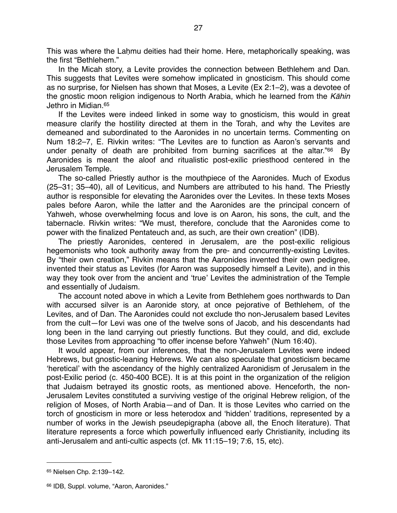This was where the Laḥmu deities had their home. Here, metaphorically speaking, was the first "Bethlehem."

In the Micah story, a Levite provides the connection between Bethlehem and Dan. This suggests that Levites were somehow implicated in gnosticism. This should come as no surprise, for Nielsen has shown that Moses, a Levite (Ex 2:1–2), was a devotee of the gnostic moon religion indigenous to North Arabia, which he learned from the *K*ā*hin* Jethro in Midian[.65](#page-26-0)

If the Levites were indeed linked in some way to gnosticism, this would in great measure clarify the hostility directed at them in the Torah, and why the Levites are demeaned and subordinated to the Aaronides in no uncertain terms. Commenting on Num 18:2–7, E. Rivkin writes: "The Levites are to function as Aaron's servants and under penalty of death are prohibited from burning sacrifices at the altar.["66](#page-26-1) By Aaronides is meant the aloof and ritualistic post-exilic priesthood centered in the Jerusalem Temple.

The so-called Priestly author is the mouthpiece of the Aaronides. Much of Exodus (25–31; 35–40), all of Leviticus, and Numbers are attributed to his hand. The Priestly author is responsible for elevating the Aaronides over the Levites. In these texts Moses pales before Aaron, while the latter and the Aaronides are the principal concern of Yahweh, whose overwhelming focus and love is on Aaron, his sons, the cult, and the tabernacle. Rivkin writes: "We must, therefore, conclude that the Aaronides come to power with the finalized Pentateuch and, as such, are their own creation" (IDB).

The priestly Aaronides, centered in Jerusalem, are the post-exilic religious hegemonists who took authority away from the pre- and concurrently-existing Levites. By "their own creation," Rivkin means that the Aaronides invented their own pedigree, invented their status as Levites (for Aaron was supposedly himself a Levite), and in this way they took over from the ancient and ʻtrue' Levites the administration of the Temple and essentially of Judaism.

The account noted above in which a Levite from Bethlehem goes northwards to Dan with accursed silver is an Aaronide story, at once pejorative of Bethlehem, of the Levites, and of Dan. The Aaronides could not exclude tho non-Jerusalem based Levites from the cult—for Levi was one of the twelve sons of Jacob, and his descendants had long been in the land carrying out priestly functions. But they could, and did, exclude those Levites from approaching "to offer incense before Yahweh" (Num 16:40).

It would appear, from our inferences, that the non-Jerusalem Levites were indeed Hebrews, but gnostic-leaning Hebrews. We can also speculate that gnosticism became ʻheretical' with the ascendancy of the highly centralized Aaronidism of Jerusalem in the post-Exilic period (c. 450-400 BCE). It is at this point in the organization of the religion that Judaism betrayed its gnostic roots, as mentioned above. Henceforth, the non-Jerusalem Levites constituted a surviving vestige of the original Hebrew religion, of the religion of Moses, of North Arabia—and of Dan. It is those Levites who carried on the torch of gnosticism in more or less heterodox and ʻhidden' traditions, represented by a number of works in the Jewish pseudepigrapha (above all, the Enoch literature). That literature represents a force which powerfully influenced early Christianity, including its anti-Jerusalem and anti-cultic aspects (cf. Mk 11:15–19; 7:6, 15, etc).

<span id="page-26-0"></span><sup>65</sup> Nielsen Chp. 2:139–142.

<span id="page-26-1"></span><sup>66</sup> IDB, Suppl. volume, "Aaron, Aaronides."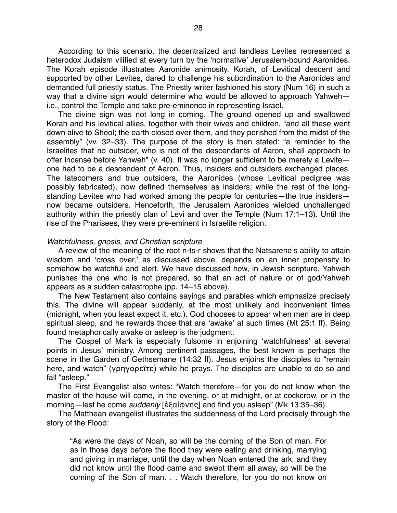According to this scenario, the decentralized and landless Levites represented a heterodox Judaism vilified at every turn by the ʻnormative' Jerusalem-bound Aaronides. The Korah episode illustrates Aaronide animosity. Korah, of Levitical descent and supported by other Levites, dared to challenge his subordination to the Aaronides and demanded full priestly status. The Priestly writer fashioned his story (Num 16) in such a way that a divine sign would determine who would be allowed to approach Yahweh i.e., control the Temple and take pre-eminence in representing Israel.

The divine sign was not long in coming. The ground opened up and swallowed Korah and his levitical allies, together with their wives and children, "and all these went down alive to Sheol; the earth closed over them, and they perished from the midst of the assembly" (vv. 32–33). The purpose of the story is then stated: "a reminder to the Israelites that no outsider, who is not of the descendants of Aaron, shall approach to offer incense before Yahweh" (v. 40). It was no longer sufficient to be merely a Levite one had to be a descendent of Aaron. Thus, insiders and outsiders exchanged places. The latecomers and true outsiders, the Aaronides (whose Levitical pedigree was possibly fabricated), now defined themselves as insiders; while the rest of the longstanding Levites who had worked among the people for centuries—the true insiders now became outsiders. Henceforth, the Jerusalem Aaronides wielded unchallenged authority within the priestly clan of Levi and over the Temple (Num 17:1–13). Until the rise of the Pharisees, they were pre-eminent in Israelite religion.

#### *Watchfulness, gnosis, and Christian scripture*

A review of the meaning of the root n-ts-r shows that the Natsarene's ability to attain wisdom and ʻcross over,' as discussed above, depends on an inner propensity to somehow be watchful and alert. We have discussed how, in Jewish scripture, Yahweh punishes the one who is not prepared, so that an act of nature or of god/Yahweh appears as a sudden catastrophe (pp. 14–15 above).

The New Testament also contains sayings and parables which emphasize precisely this. The divine will appear suddenly, at the most unlikely and inconvenient times (midnight, when you least expect it, etc.). God chooses to appear when men are in deep spiritual sleep, and he rewards those that are ʻawake' at such times (Mt 25:1 ff). Being found metaphorically awake or asleep is the judgment.

The Gospel of Mark is especially fulsome in enjoining ʻwatchfulness' at several points in Jesus' ministry. Among pertinent passages, the best known is perhaps the scene in the Garden of Gethsemane (14:32 ff). Jesus enjoins the disciples to "remain here, and watch" (γρηγορεῖτε) while he prays. The disciples are unable to do so and fall "asleep."

The First Evangelist also writes: "Watch therefore—for you do not know when the master of the house will come, in the evening, or at midnight, or at cockcrow, or in the morning—lest he come *suddenly* [ἐξαίφνης] and find you asleep" (Mk 13:35–36).

The Matthean evangelist illustrates the suddenness of the Lord precisely through the story of the Flood:

"As were the days of Noah, so will be the coming of the Son of man. For as in those days before the flood they were eating and drinking, marrying and giving in marriage, until the day when Noah entered the ark, and they did not know until the flood came and swept them all away, so will be the coming of the Son of man. . . Watch therefore, for you do not know on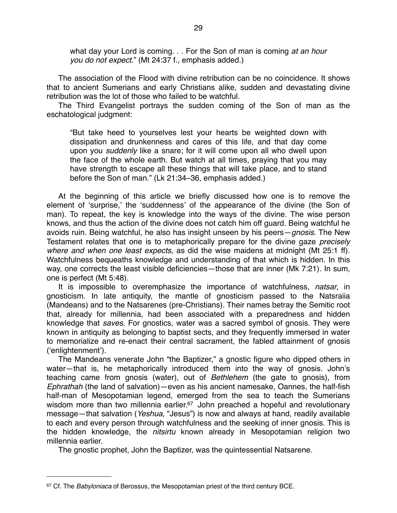what day your Lord is coming. . . For the Son of man is coming *at an hour you do not expect.*" (Mt 24:37 f., emphasis added.)

The association of the Flood with divine retribution can be no coincidence. It shows that to ancient Sumerians and early Christians alike, sudden and devastating divine retribution was the lot of those who failed to be watchful.

The Third Evangelist portrays the sudden coming of the Son of man as the eschatological judgment:

"But take heed to yourselves lest your hearts be weighted down with dissipation and drunkenness and cares of this life, and that day come upon you *suddenly* like a snare; for it will come upon all who dwell upon the face of the whole earth. But watch at all times, praying that you may have strength to escape all these things that will take place, and to stand before the Son of man." (Lk 21:34–36, emphasis added.)

At the beginning of this article we briefly discussed how one is to remove the element of ʻsurprise,' the ʻsuddenness' of the appearance of the divine (the Son of man). To repeat, the key is knowledge into the ways of the divine. The wise person knows, and thus the action of the divine does not catch him off guard. Being watchful he avoids ruin. Being watchful, he also has insight unseen by his peers—*gnosis*. The New Testament relates that one is to metaphorically prepare for the divine gaze *precisely where and when one least expects*, as did the wise maidens at midnight (Mt 25:1 ff). Watchfulness bequeaths knowledge and understanding of that which is hidden. In this way, one corrects the least visible deficiencies—those that are inner (Mk 7:21). In sum, one is perfect (Mt 5:48).

It is impossible to overemphasize the importance of watchfulness, *natsar*, in gnosticism. In late antiquity, the mantle of gnosticism passed to the Natsraiia (Mandeans) and to the Natsarenes (pre-Christians). Their names betray the Semitic root that, already for millennia, had been associated with a preparedness and hidden knowledge that *saves*. For gnostics, water was a sacred symbol of gnosis. They were known in antiquity as belonging to baptist sects, and they frequently immersed in water to memorialize and re-enact their central sacrament, the fabled attainment of gnosis (ʻenlightenment').

The Mandeans venerate John "the Baptizer," a gnostic figure who dipped others in water—that is, he metaphorically introduced them into the way of gnosis. John's teaching came from gnosis (water), out of *Bethlehem* (the gate to gnosis), from *Ephrathah* (the land of salvation)—even as his ancient namesake, Oannes, the half-fish half-man of Mesopotamian legend, emerged from the sea to teach the Sumerians wisdom more than two millennia earlier.<sup>67</sup> John preached a hopeful and revolutionary message—that salvation (*Yeshua*, "Jesus") is now and always at hand, readily available to each and every person through watchfulness and the seeking of inner gnosis. This is the hidden knowledge, the *nitsirtu* known already in Mesopotamian religion two millennia earlier.

The gnostic prophet, John the Baptizer, was the quintessential Natsarene.

<span id="page-28-0"></span><sup>67</sup> Cf. The *Babyloniaca* of Berossus, the Mesopotamian priest of the third century BCE.